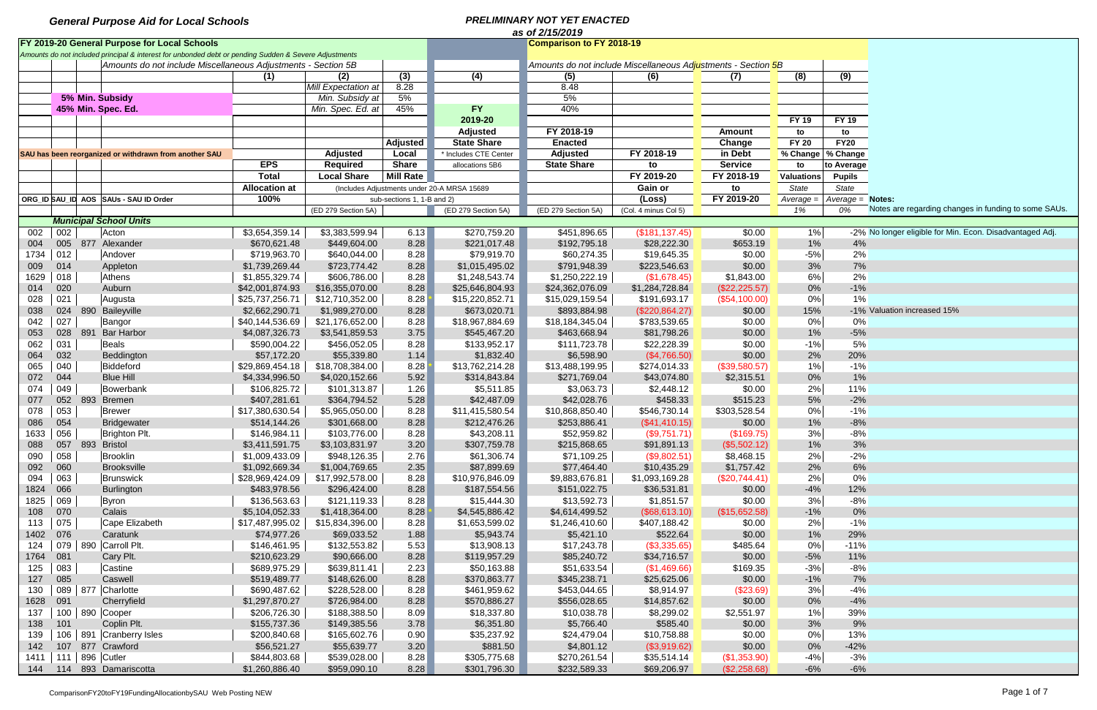|      | as of 2/15/2019 |     |                                                                                                       |                      |                     |                            |                                             |                                                               |                      |                |                   |                     |                                                          |  |
|------|-----------------|-----|-------------------------------------------------------------------------------------------------------|----------------------|---------------------|----------------------------|---------------------------------------------|---------------------------------------------------------------|----------------------|----------------|-------------------|---------------------|----------------------------------------------------------|--|
|      |                 |     | FY 2019-20 General Purpose for Local Schools                                                          |                      |                     |                            |                                             | <b>Comparison to FY 2018-19</b>                               |                      |                |                   |                     |                                                          |  |
|      |                 |     | Amounts do not included principal & interest for unbonded debt or pending Sudden & Severe Adjustments |                      |                     |                            |                                             |                                                               |                      |                |                   |                     |                                                          |  |
|      |                 |     | Amounts do not include Miscellaneous Adjustments - Section 5B                                         |                      |                     |                            |                                             | Amounts do not include Miscellaneous Adjustments - Section 5B |                      |                |                   |                     |                                                          |  |
|      |                 |     |                                                                                                       | (1)                  | (2)                 | (3)                        | (4)                                         | (5)                                                           | (6)                  | (7)            | (8)               | (9)                 |                                                          |  |
|      |                 |     |                                                                                                       |                      | Mill Expectation at | 8.28                       |                                             | 8.48                                                          |                      |                |                   |                     |                                                          |  |
|      |                 |     | 5% Min. Subsidy                                                                                       |                      | Min. Subsidy at     | 5%                         |                                             | 5%                                                            |                      |                |                   |                     |                                                          |  |
|      |                 |     | 45% Min. Spec. Ed.                                                                                    |                      | Min. Spec. Ed. at   | 45%                        | <b>FY</b>                                   | 40%                                                           |                      |                |                   |                     |                                                          |  |
|      |                 |     |                                                                                                       |                      |                     |                            | 2019-20                                     |                                                               |                      |                | <b>FY 19</b>      | <b>FY 19</b>        |                                                          |  |
|      |                 |     |                                                                                                       |                      |                     |                            | <b>Adjusted</b>                             | FY 2018-19                                                    |                      | Amount         | to                | to                  |                                                          |  |
|      |                 |     |                                                                                                       |                      |                     | <b>Adjusted</b>            | <b>State Share</b>                          | <b>Enacted</b>                                                |                      | Change         | <b>FY 20</b>      | <b>FY20</b>         |                                                          |  |
|      |                 |     | SAU has been reorganized or withdrawn from another SAU                                                |                      | <b>Adjusted</b>     | Local                      | * Includes CTE Center                       | <b>Adjusted</b>                                               | FY 2018-19           | in Debt        |                   | % Change   % Change |                                                          |  |
|      |                 |     |                                                                                                       | <b>EPS</b>           | <b>Required</b>     | <b>Share</b>               | allocations 5B6                             | <b>State Share</b>                                            | to                   | <b>Service</b> | to                | to Average          |                                                          |  |
|      |                 |     |                                                                                                       | <b>Total</b>         | <b>Local Share</b>  | <b>Mill Rate</b>           |                                             |                                                               | FY 2019-20           | FY 2018-19     | <b>Valuations</b> | <b>Pupils</b>       |                                                          |  |
|      |                 |     |                                                                                                       | <b>Allocation at</b> |                     |                            | (Includes Adjustments under 20-A MRSA 15689 |                                                               | Gain or              | to             | State             | <b>State</b>        |                                                          |  |
|      |                 |     | ORG_ID SAU_ID AOS SAUs - SAU ID Order                                                                 | 100%                 |                     | sub-sections 1, 1-B and 2) |                                             |                                                               | (Loss)               | FY 2019-20     | Average:          | Average = Notes:    |                                                          |  |
|      |                 |     |                                                                                                       |                      | (ED 279 Section 5A) |                            | (ED 279 Section 5A)                         | (ED 279 Section 5A)                                           | (Col. 4 minus Col 5) |                | 1%                | 0%                  | Notes are regarding changes in funding to some SAUs.     |  |
|      |                 |     | <b>Municipal School Units</b>                                                                         |                      |                     |                            |                                             |                                                               |                      |                |                   |                     |                                                          |  |
| 002  | 002             |     | Acton                                                                                                 | \$3,654,359.14       | \$3,383,599.94      | 6.13                       | \$270,759.20                                | \$451,896.65                                                  | (\$181, 137.45)      | \$0.00         | 1%                |                     | -2% No longer eligible for Min. Econ. Disadvantaged Adj. |  |
| 004  | 005             |     | 877 Alexander                                                                                         | \$670,621.48         | \$449,604.00        | 8.28                       | \$221,017.48                                | \$192,795.18                                                  | \$28,222.30          | \$653.19       | $1\%$             | 4%                  |                                                          |  |
| 1734 | 012             |     | Andover                                                                                               | \$719,963.70         | \$640,044.00        | 8.28                       | \$79,919.70                                 | \$60,274.35                                                   | \$19,645.35          | \$0.00         | $-5%$             | 2%                  |                                                          |  |
| 009  | 014             |     | Appleton                                                                                              | \$1,739,269.44       | \$723,774.42        | 8.28                       | \$1,015,495.02                              | \$791,948.39                                                  | \$223,546.63         | \$0.00         | 3%                | 7%                  |                                                          |  |
| 1629 | 018             |     | Athens                                                                                                | \$1,855,329.74       | \$606,786.00        | 8.28                       | \$1,248,543.74                              | \$1,250,222.19                                                | (\$1,678.45)         | \$1,843.00     | 6%                | 2%                  |                                                          |  |
| 014  | 020             |     | Auburn                                                                                                | \$42,001,874.93      | \$16,355,070.00     | 8.28                       | \$25,646,804.93                             | \$24,362,076.09                                               | \$1,284,728.84       | (\$22,225.57)  | $0\%$             | $-1%$               |                                                          |  |
| 028  | 021             |     | Augusta                                                                                               | \$25,737,256.71      | \$12,710,352.00     | 8.28                       | \$15,220,852.71                             | \$15,029,159.54                                               | \$191,693.17         | (\$54,100.00)  | $0\%$             | 1%                  |                                                          |  |
| 038  | 024             | 890 | Baileyville                                                                                           | \$2,662,290.71       | \$1,989,270.00      | 8.28                       | \$673,020.71                                | \$893,884.98                                                  | (\$220,864.27)       | \$0.00         | 15%               |                     | -1% Valuation increased 15%                              |  |
| 042  | 027             |     | Bangor                                                                                                | \$40,144,536.69      | \$21,176,652.00     | 8.28                       | \$18,967,884.69                             | \$18,184,345.04                                               | \$783,539.65         | \$0.00         | 0%                | 0%                  |                                                          |  |
| 053  | 028             | 891 | <b>Bar Harbor</b>                                                                                     | \$4,087,326.73       | \$3,541,859.53      | 3.75                       | \$545,467.20                                | \$463,668.94                                                  | \$81,798.26          | \$0.00         | 1%                | $-5%$               |                                                          |  |
| 062  | 031             |     | Beals                                                                                                 | \$590,004.22         | \$456,052.05        | 8.28                       | \$133,952.17                                | \$111,723.78                                                  | \$22,228.39          | \$0.00         | $-1%$             | 5%                  |                                                          |  |
|      | 032             |     |                                                                                                       | \$57,172.20          | \$55,339.80         | 1.14                       | \$1,832.40                                  | \$6,598.90                                                    | (\$4,766.50)         | \$0.00         | 2%                | 20%                 |                                                          |  |
| 064  | 040             |     | Beddington<br>Biddeford                                                                               |                      |                     |                            | \$13,762,214.28                             | \$13,488,199.95                                               |                      |                | 1%                | $-1%$               |                                                          |  |
| 065  |                 |     |                                                                                                       | \$29,869,454.18      | \$18,708,384.00     | 8.28                       |                                             |                                                               | \$274,014.33         | (\$39,580.57)  |                   | 1%                  |                                                          |  |
| 072  | 044             |     | <b>Blue Hill</b>                                                                                      | \$4,334,996.50       | \$4,020,152.66      | 5.92                       | \$314,843.84                                | \$271,769.04                                                  | \$43,074.80          | \$2,315.51     | $0\%$             |                     |                                                          |  |
| 074  | 049             |     | Bowerbank                                                                                             | \$106,825.72         | \$101,313.87        | 1.26                       | \$5,511.85                                  | \$3,063.73                                                    | \$2,448.12           | \$0.00         | 2%                | 11%                 |                                                          |  |
| 077  | 052             |     | 893 Bremen                                                                                            | \$407,281.61         | \$364,794.52        | 5.28                       | \$42,487.09                                 | \$42,028.76                                                   | \$458.33             | \$515.23       | 5%                | $-2%$               |                                                          |  |
| 078  | 053             |     | Brewer                                                                                                | \$17,380,630.54      | \$5,965,050.00      | 8.28                       | \$11,415,580.54                             | \$10,868,850.40                                               | \$546,730.14         | \$303,528.54   | 0%                | $-1%$               |                                                          |  |
| 086  | 054             |     | <b>Bridgewater</b>                                                                                    | \$514,144.26         | \$301,668.00        | 8.28                       | \$212,476.26                                | \$253,886.41                                                  | (\$41,410.15)        | \$0.00         | 1%                | $-8%$               |                                                          |  |
| 1633 | 056             |     | Brighton Plt.                                                                                         | \$146,984.11         | \$103,776.00        | 8.28                       | \$43,208.11                                 | \$52,959.82                                                   | (\$9,751.71)         | (\$169.75)     | 3%                | $-8%$               |                                                          |  |
| 088  |                 |     | 057 893 Bristol                                                                                       | \$3,411,591.75       | \$3,103,831.97      | 3.20                       | \$307,759.78                                | \$215,868.65                                                  | \$91,891.13          | (\$5,502.12)   | $1\%$             | 3%                  |                                                          |  |
| 090  | 058             |     | Brooklin                                                                                              | \$1,009,433.09       | \$948,126.35        | 2.76                       | \$61,306.74                                 | \$71,109.25                                                   | (\$9,802.51)         | \$8,468.15     | 2%                | $-2%$               |                                                          |  |
| 092  | 060             |     | <b>Brooksville</b>                                                                                    | \$1,092,669.34       | \$1,004,769.65      | 2.35                       | \$87,899.69                                 | \$77,464.40                                                   | \$10,435.29          | \$1,757.42     | 2%                | 6%                  |                                                          |  |
| 094  | 063             |     | Brunswick                                                                                             | \$28,969,424.09      | \$17,992,578.00     | 8.28                       | \$10,976,846.09                             | \$9,883,676.81                                                | \$1,093,169.28       | (\$20,744.41)  | 2%                | 0%                  |                                                          |  |
| 1824 | 066             |     | Burlington                                                                                            | \$483,978.56         | \$296,424.00        | 8.28                       | \$187,554.56                                | \$151,022.75                                                  | \$36,531.81          | \$0.00         | $-4%$             | 12%                 |                                                          |  |
| 1825 | 069             |     | Byron                                                                                                 | \$136,563.63         | \$121,119.33        | 8.28                       | \$15,444.30                                 | \$13,592.73                                                   | \$1,851.57           | \$0.00         | 3%                | $-8%$               |                                                          |  |
| 108  | 070             |     | Calais                                                                                                | \$5,104,052.33       | \$1,418,364.00      | 8.28                       | \$4,545,886.42                              | \$4,614,499.52                                                | $($ \$68,613.10)     | (\$15,652.58)  | $-1%$             | 0%                  |                                                          |  |
| 113  | 075             |     | Cape Elizabeth                                                                                        | \$17,487,995.02      | \$15,834,396.00     | 8.28                       | \$1,653,599.02                              | \$1,246,410.60                                                | \$407,188.42         | \$0.00         | 2%                | $-1%$               |                                                          |  |
| 1402 | 076             |     | Caratunk                                                                                              | \$74,977.26          | \$69,033.52         | 1.88                       | \$5,943.74                                  | \$5,421.10                                                    | \$522.64             | \$0.00         | 1%                | 29%                 |                                                          |  |
| 124  |                 |     | 079   890 Carroll Plt.                                                                                | \$146,461.95         | \$132,553.82        | 5.53                       | \$13,908.13                                 | \$17,243.78                                                   | (\$3,335.65)         | \$485.64       | 0%                | $-11%$              |                                                          |  |
| 1764 | 081             |     | Cary Plt.                                                                                             | \$210,623.29         | \$90,666.00         | 8.28                       | \$119,957.29                                | \$85,240.72                                                   | \$34,716.57          | \$0.00         | $-5%$             | 11%                 |                                                          |  |
| 125  | 083             |     | Castine                                                                                               | \$689,975.29         | \$639,811.41        | 2.23                       | \$50,163.88                                 | \$51,633.54                                                   | (\$1,469.66)         | \$169.35       | $-3%$             | $-8%$               |                                                          |  |
| 127  | 085             |     | Caswell                                                                                               | \$519,489.77         | \$148,626.00        | 8.28                       | \$370,863.77                                | \$345,238.71                                                  | \$25,625.06          | \$0.00         | $-1\%$            | 7%                  |                                                          |  |
| 130  |                 |     | 089   877   Charlotte                                                                                 | \$690,487.62         | \$228,528.00        | 8.28                       | \$461,959.62                                | \$453,044.65                                                  | \$8,914.97           | (\$23.69)      | 3%                | $-4%$               |                                                          |  |
| 1628 | 091             |     | Cherryfield                                                                                           | \$1,297,870.27       | \$726,984.00        | 8.28                       | \$570,886.27                                | \$556,028.65                                                  | \$14,857.62          | \$0.00         | $0\%$             | $-4%$               |                                                          |  |
| 137  |                 |     | 100   890 Cooper                                                                                      | \$206,726.30         | \$188,388.50        | 8.09                       | \$18,337.80                                 | \$10,038.78                                                   | \$8,299.02           | \$2,551.97     | 1%                | 39%                 |                                                          |  |
| 138  | 101             |     | Coplin Plt.                                                                                           | \$155,737.36         | \$149,385.56        | 3.78                       | \$6,351.80                                  | \$5,766.40                                                    | \$585.40             | \$0.00         | 3%                | 9%                  |                                                          |  |
| 139  |                 |     | 106   891   Cranberry Isles                                                                           | \$200,840.68         | \$165,602.76        | 0.90                       | \$35,237.92                                 | \$24,479.04                                                   | \$10,758.88          | \$0.00         | $0\%$             | 13%                 |                                                          |  |
| 142  |                 |     | 107 877 Crawford                                                                                      | \$56,521.27          | \$55,639.77         | 3.20                       | \$881.50                                    | \$4,801.12                                                    | (\$3,919.62)         | \$0.00         | $0\%$             | $-42%$              |                                                          |  |
| 1411 |                 |     | 111   896   Cutler                                                                                    | \$844,803.68         | \$539,028.00        | 8.28                       | \$305,775.68                                | \$270,261.54                                                  | \$35,514.14          | (\$1,353.90)   | $-4%$             | $-3%$               |                                                          |  |
|      |                 |     | 144 114 893 Damariscotta                                                                              | \$1,260,886.40       | \$959,090.10        | 8.28                       | \$301,796.30                                | \$232,589.33                                                  | \$69,206.97          | (\$2,258.68)   | $-6%$             | $-6%$               |                                                          |  |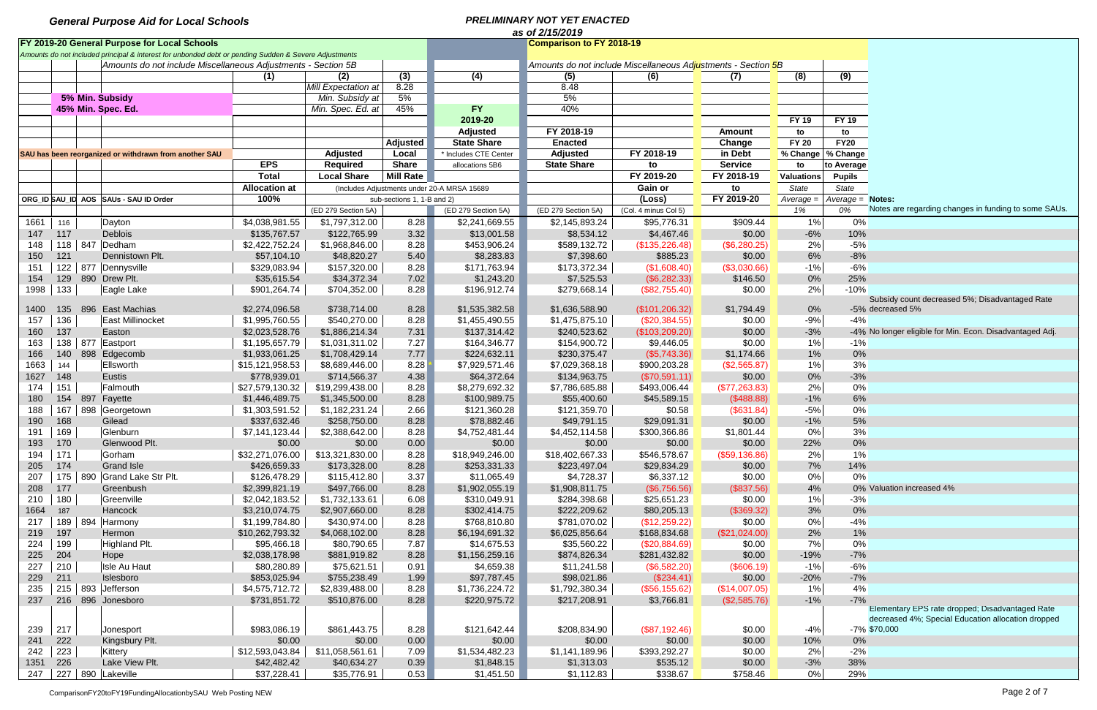|      | as of 2/15/2019 |  |                                                                                                       |                           |                     |                            |                                             |                                                               |                      |                  |                   |                     |                                                          |  |
|------|-----------------|--|-------------------------------------------------------------------------------------------------------|---------------------------|---------------------|----------------------------|---------------------------------------------|---------------------------------------------------------------|----------------------|------------------|-------------------|---------------------|----------------------------------------------------------|--|
|      |                 |  | FY 2019-20 General Purpose for Local Schools                                                          |                           |                     |                            |                                             | <b>Comparison to FY 2018-19</b>                               |                      |                  |                   |                     |                                                          |  |
|      |                 |  | Amounts do not included principal & interest for unbonded debt or pending Sudden & Severe Adjustments |                           |                     |                            |                                             |                                                               |                      |                  |                   |                     |                                                          |  |
|      |                 |  | Amounts do not include Miscellaneous Adjustments - Section 5B                                         |                           |                     |                            |                                             | Amounts do not include Miscellaneous Adjustments - Section 5B |                      |                  |                   |                     |                                                          |  |
|      |                 |  |                                                                                                       | (1)                       | (2)                 | (3)                        | (4)                                         | (5)                                                           | (6)                  | (7)              | (8)               | (9)                 |                                                          |  |
|      |                 |  |                                                                                                       |                           | Mill Expectation at | 8.28                       |                                             | 8.48                                                          |                      |                  |                   |                     |                                                          |  |
|      |                 |  | 5% Min. Subsidy                                                                                       |                           | Min. Subsidy at     | 5%                         |                                             | 5%                                                            |                      |                  |                   |                     |                                                          |  |
|      |                 |  | 45% Min. Spec. Ed.                                                                                    |                           | Min. Spec. Ed. at   | 45%                        | <b>FY</b>                                   | 40%                                                           |                      |                  |                   |                     |                                                          |  |
|      |                 |  |                                                                                                       |                           |                     |                            | 2019-20                                     |                                                               |                      |                  | <b>FY 19</b>      | <b>FY 19</b>        |                                                          |  |
|      |                 |  |                                                                                                       |                           |                     |                            | <b>Adjusted</b>                             | FY 2018-19                                                    |                      | <b>Amount</b>    | to                | to                  |                                                          |  |
|      |                 |  |                                                                                                       |                           |                     | <b>Adjusted</b>            | <b>State Share</b>                          | <b>Enacted</b>                                                |                      | Change           | <b>FY 20</b>      | <b>FY20</b>         |                                                          |  |
|      |                 |  | SAU has been reorganized or withdrawn from another SAU                                                |                           | <b>Adjusted</b>     | Local                      | * Includes CTE Center                       | <b>Adjusted</b>                                               | FY 2018-19           | in Debt          |                   | % Change   % Change |                                                          |  |
|      |                 |  |                                                                                                       | <b>EPS</b>                | <b>Required</b>     | <b>Share</b>               | allocations 5B6                             | <b>State Share</b>                                            | to                   | <b>Service</b>   | to                | to Average          |                                                          |  |
|      |                 |  |                                                                                                       | <b>Total</b>              | <b>Local Share</b>  | <b>Mill Rate</b>           |                                             |                                                               | FY 2019-20           | FY 2018-19       | <b>Valuations</b> | <b>Pupils</b>       |                                                          |  |
|      |                 |  |                                                                                                       | <b>Allocation at</b>      |                     |                            | (Includes Adjustments under 20-A MRSA 15689 |                                                               | Gain or              | to               | State             | State               |                                                          |  |
|      |                 |  | ORG ID SAU ID AOS SAUS - SAU ID Order                                                                 | 100%                      |                     | sub-sections 1, 1-B and 2) |                                             |                                                               | (Loss)               | FY 2019-20       | Average =         | $Average = Notes$ : |                                                          |  |
|      |                 |  |                                                                                                       |                           | (ED 279 Section 5A) |                            | (ED 279 Section 5A)                         | (ED 279 Section 5A)                                           | (Col. 4 minus Col 5) |                  | 1%                | 0%                  | Notes are regarding changes in funding to some SAUs.     |  |
| 1661 | 116             |  | Dayton                                                                                                | $\overline{4,038,981.55}$ | \$1,797,312.00      | 8.28                       | \$2,241,669.55                              | \$2,145,893.24                                                | \$95,776.31          | \$909.44         | 1%                | 0%                  |                                                          |  |
| 147  | 117             |  | Deblois                                                                                               | \$135,767.57              | \$122,765.99        | 3.32                       | \$13,001.58                                 | \$8,534.12                                                    | \$4,467.46           | \$0.00           | $-6%$             | 10%                 |                                                          |  |
| 148  |                 |  | 118   847   Dedham                                                                                    | \$2,422,752.24            | \$1,968,846.00      | 8.28                       | \$453,906.24                                | \$589,132.72                                                  | (\$135,226.48)       | (\$6,280.25)     | 2%                | $-5%$               |                                                          |  |
| 150  | 121             |  | Dennistown Plt.                                                                                       | \$57,104.10               | \$48,820.27         | 5.40                       | \$8,283.83                                  | \$7,398.60                                                    | \$885.23             | \$0.00           | 6%                | $-8%$               |                                                          |  |
| 151  | 122             |  | 877 Dennysville                                                                                       | \$329,083.94              | \$157,320.00        | 8.28                       | \$171,763.94                                | \$173,372.34                                                  | (\$1,608.40)         | (\$3,030.66)     | $-1%$             | $-6%$               |                                                          |  |
| 154  | 129             |  | 890 Drew Plt.                                                                                         | \$35,615.54               | \$34,372.34         | 7.02                       | \$1,243.20                                  | \$7,525.53                                                    | (\$6,282.33)         | \$146.50         | 0%                | 25%                 |                                                          |  |
| 1998 | 133             |  | Eagle Lake                                                                                            | \$901,264.74              | \$704,352.00        | 8.28                       | \$196,912.74                                | \$279,668.14                                                  | (\$82,755.40)        | \$0.00           | 2%                | $-10%$              |                                                          |  |
|      |                 |  |                                                                                                       |                           |                     |                            |                                             |                                                               |                      |                  |                   |                     | Subsidy count decreased 5%; Disadvantaged Rate           |  |
| 1400 | 135             |  | 896 East Machias                                                                                      | \$2,274,096.58            | \$738,714.00        | 8.28                       | \$1,535,382.58                              | \$1,636,588.90                                                | (\$101, 206.32)      | \$1,794.49       | 0%                |                     | -5% decreased 5%                                         |  |
| 157  | 136             |  | East Millinocket                                                                                      | \$1,995,760.55            | \$540,270.00        | 8.28                       | \$1,455,490.55                              | \$1,475,875.10                                                | (\$20,384.55)        | \$0.00           | $-9%$             | $-4%$               |                                                          |  |
| 160  | 137             |  | Easton                                                                                                | \$2,023,528.76            | \$1,886,214.34      | 7.31                       | \$137,314.42                                | \$240,523.62                                                  | (\$103,209.20)       | \$0.00           | $-3%$             |                     | -4% No longer eligible for Min. Econ. Disadvantaged Adj. |  |
| 163  | 138             |  | 877 Eastport                                                                                          | \$1,195,657.79            | \$1,031,311.02      | 7.27                       | \$164,346.77                                | \$154,900.72                                                  | \$9,446.05           | \$0.00           | 1%                | $-1%$               |                                                          |  |
| 166  | 140             |  | 898 Edgecomb                                                                                          | \$1,933,061.25            | \$1,708,429.14      | 7.77                       | \$224,632.11                                | \$230,375.47                                                  | (\$5,743.36)         | \$1,174.66       | $1\%$             | 0%                  |                                                          |  |
| 1663 | 144             |  | Ellsworth                                                                                             | \$15,121,958.53           | \$8,689,446.00      | 8.28                       | \$7,929,571.46                              | \$7,029,368.18                                                | \$900,203.28         | (\$2,565.87)     | 1%                | 3%                  |                                                          |  |
| 1627 | 148             |  | Eustis                                                                                                | \$778,939.01              | \$714,566.37        | 4.38                       | \$64,372.64                                 | \$134,963.75                                                  | (\$70,591.11)        | \$0.00           | 0%                | $-3%$               |                                                          |  |
| 174  | 151             |  | Falmouth                                                                                              | \$27,579,130.32           | \$19,299,438.00     | 8.28                       | \$8,279,692.32                              | \$7,786,685.88                                                | \$493,006.44         | (\$77,263.83)    | 2%                | 0%                  |                                                          |  |
| 180  | 154             |  | 897 Fayette                                                                                           | \$1,446,489.75            | \$1,345,500.00      | 8.28                       | \$100,989.75                                | \$55,400.60                                                   | \$45,589.15          | (\$488.88)       | $-1%$             | 6%                  |                                                          |  |
| 188  | 167             |  | 898 Georgetown                                                                                        | \$1,303,591.52            | \$1,182,231.24      | 2.66                       | \$121,360.28                                | \$121,359.70                                                  | \$0.58               | (\$631.84)       | $-5%$             | 0%                  |                                                          |  |
| 190  | 168             |  | Gilead                                                                                                | \$337,632.46              | \$258,750.00        | 8.28                       | \$78,882.46                                 | \$49,791.15                                                   | \$29,091.31          | \$0.00           | $-1%$             | 5%                  |                                                          |  |
| 191  | 169             |  | Glenburn                                                                                              | \$7,141,123.44            | \$2,388,642.00      | 8.28                       | \$4,752,481.44                              | \$4,452,114.58                                                | \$300,366.86         | \$1,801.44       | 0%                | 3%                  |                                                          |  |
| 193  | 170             |  | Glenwood Plt.                                                                                         | \$0.00                    | \$0.00              | 0.00                       | \$0.00                                      | \$0.00                                                        | \$0.00               | \$0.00           | 22%               | 0%                  |                                                          |  |
| 194  | 171             |  | Gorham                                                                                                | \$32,271,076.00           | \$13,321,830.00     | 8.28                       | \$18,949,246.00                             | \$18,402,667.33                                               | \$546,578.67         | $($ \$59,136.86) | 2%                | 1%                  |                                                          |  |
| 205  | 174             |  | <b>Grand Isle</b>                                                                                     | \$426,659.33              | \$173,328.00        | 8.28                       | \$253,331.33                                | \$223,497.04                                                  | \$29,834.29          | \$0.00           | 7%                | 14%                 |                                                          |  |
| 207  | 175             |  | 890 Grand Lake Str Plt.                                                                               | \$126,478.29              | \$115,412.80        | 3.37                       | \$11,065.49                                 | \$4,728.37                                                    | \$6,337.12           | \$0.00           | 0%                | 0%                  |                                                          |  |
| 208  | 177             |  | Greenbush                                                                                             | \$2,399,821.19            | \$497,766.00        | 8.28                       | \$1,902,055.19                              | \$1,908,811.75                                                | (\$6,756.56)         | (\$837.56)       | 4%                |                     | 0% Valuation increased 4%                                |  |
| 210  | 180             |  | Greenville                                                                                            | \$2,042,183.52            | \$1,732,133.61      | 6.08                       | \$310,049.91                                | \$284,398.68                                                  | \$25,651.23          | \$0.00           | 1%                | $-3%$               |                                                          |  |
| 1664 | 187             |  | Hancock                                                                                               | \$3,210,074.75            | \$2,907,660.00      | 8.28                       | \$302,414.75                                | \$222,209.62                                                  | \$80,205.13          | (\$369.32)       | 3%                | 0%                  |                                                          |  |
| 217  |                 |  | 189   894   Harmony                                                                                   | \$1,199,784.80            | \$430,974.00        | 8.28                       | \$768,810.80                                | \$781,070.02                                                  | (\$12,259.22)        | \$0.00           | 0%                | $-4%$               |                                                          |  |
| 219  | 197             |  | Hermon                                                                                                | \$10,262,793.32           | \$4,068,102.00      | 8.28                       | \$6,194,691.32                              | \$6,025,856.64                                                | \$168,834.68         | (\$21,024.00)    | 2%                | 1%                  |                                                          |  |
| 224  | 199             |  | Highland Plt.                                                                                         | \$95,466.18               | \$80,790.65         | 7.87                       | \$14,675.53                                 | \$35,560.22                                                   | (\$20,884.69)        | \$0.00           | 7%                | 0%                  |                                                          |  |
| 225  | 204             |  | Hope                                                                                                  | \$2,038,178.98            | \$881,919.82        | 8.28                       | \$1,156,259.16                              | \$874,826.34                                                  | \$281,432.82         | \$0.00           | $-19%$            | $-7%$               |                                                          |  |
| 227  | 210             |  | Isle Au Haut                                                                                          | \$80,280.89               | \$75,621.51         | 0.91                       | \$4,659.38                                  | \$11,241.58                                                   | (\$6,582.20)         | (\$606.19)       | $-1%$             | $-6%$               |                                                          |  |
| 229  | 211             |  | Islesboro                                                                                             | \$853,025.94              | \$755,238.49        | 1.99                       | \$97,787.45                                 | \$98,021.86                                                   | (\$234.41)           | \$0.00           | $-20%$            | $-7%$               |                                                          |  |
| 235  |                 |  | 215   893 $\vert$ Jefferson                                                                           | \$4,575,712.72            | \$2,839,488.00      | 8.28                       | \$1,736,224.72                              | \$1,792,380.34                                                | (\$56,155.62)        | (\$14,007.05)    | 1%                | 4%                  |                                                          |  |
| 237  |                 |  | 216 896 Jonesboro                                                                                     | \$731,851.72              | \$510,876.00        | 8.28                       | \$220,975.72                                | \$217,208.91                                                  | \$3,766.81           | (\$2,585.76)     | $-1\%$            | $-7%$               |                                                          |  |
|      |                 |  |                                                                                                       |                           |                     |                            |                                             |                                                               |                      |                  |                   |                     | Elementary EPS rate dropped; Disadvantaged Rate          |  |
|      |                 |  |                                                                                                       |                           |                     |                            |                                             |                                                               |                      |                  |                   |                     | decreased 4%; Special Education allocation dropped       |  |
| 239  | 217             |  | Jonesport                                                                                             | \$983,086.19              | \$861,443.75        | 8.28                       | \$121,642.44                                | \$208,834.90                                                  | (\$87,192.46)        | \$0.00           | $-4%$             |                     | $-7\%$ \$70,000                                          |  |
| 241  | 222             |  | Kingsbury Plt.                                                                                        | \$0.00                    | \$0.00              | 0.00                       | \$0.00                                      | \$0.00                                                        | \$0.00               | \$0.00           | 10%               | $0\%$               |                                                          |  |
| 242  | 223             |  | Kittery                                                                                               | \$12,593,043.84           | \$11,058,561.61     | 7.09                       | \$1,534,482.23                              | \$1,141,189.96                                                | \$393,292.27         | \$0.00           | 2%                | $-2%$               |                                                          |  |
| 1351 | 226             |  | Lake View Plt.                                                                                        | \$42,482.42               | \$40,634.27         | 0.39                       | \$1,848.15                                  | \$1,313.03                                                    | \$535.12             | \$0.00           | $-3%$             | 38%                 |                                                          |  |
| 247  |                 |  | 227 890 Lakeville                                                                                     | \$37,228.41               | \$35,776.91         | 0.53                       | \$1,451.50                                  | \$1,112.83                                                    | \$338.67             | \$758.46         | $0\%$             | 29%                 |                                                          |  |

ComparisonFY20toFY19FundingAllocationbySAU Web Posting NEW Page 2 of 7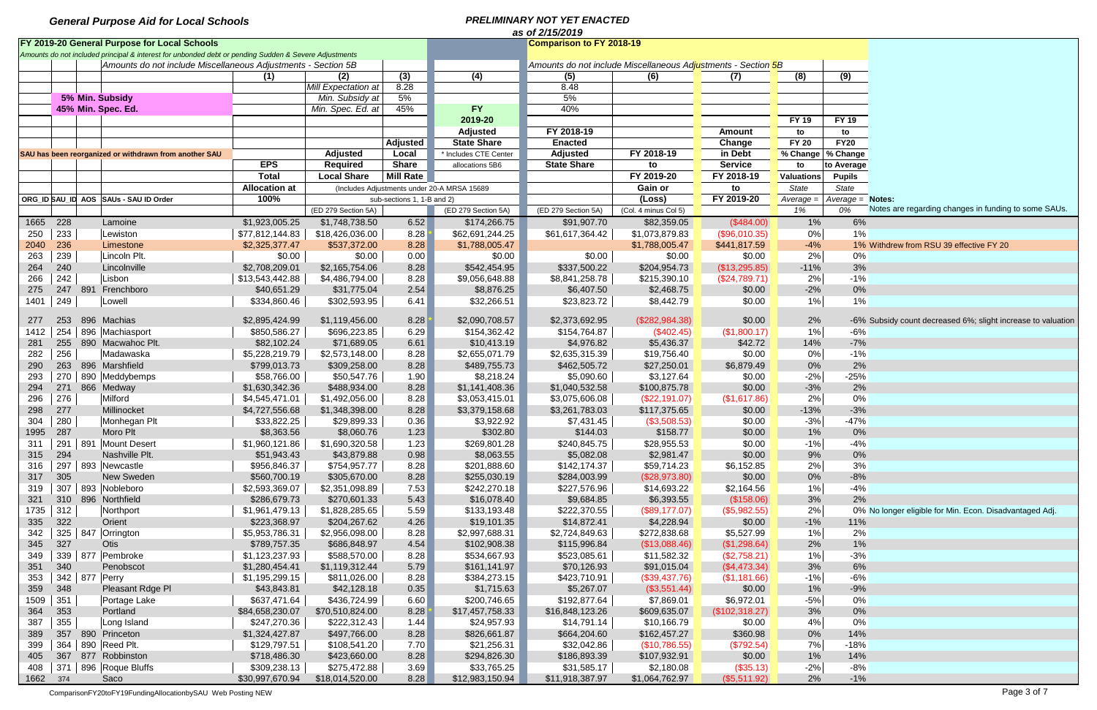|          | as of 2/15/2019                                                                 |  |                                                                                                       |                             |                             |                            |                                             |                            |                                                               |                      |                   |                     |                                                              |  |
|----------|---------------------------------------------------------------------------------|--|-------------------------------------------------------------------------------------------------------|-----------------------------|-----------------------------|----------------------------|---------------------------------------------|----------------------------|---------------------------------------------------------------|----------------------|-------------------|---------------------|--------------------------------------------------------------|--|
|          | FY 2019-20 General Purpose for Local Schools<br><b>Comparison to FY 2018-19</b> |  |                                                                                                       |                             |                             |                            |                                             |                            |                                                               |                      |                   |                     |                                                              |  |
|          |                                                                                 |  | Amounts do not included principal & interest for unbonded debt or pending Sudden & Severe Adjustments |                             |                             |                            |                                             |                            |                                                               |                      |                   |                     |                                                              |  |
|          |                                                                                 |  | Amounts do not include Miscellaneous Adjustments - Section 5B                                         |                             |                             |                            |                                             |                            | Amounts do not include Miscellaneous Adjustments - Section 5B |                      |                   |                     |                                                              |  |
|          |                                                                                 |  |                                                                                                       | (1)                         | (2)                         | (3)                        | (4)                                         | (5)                        | (6)                                                           | (7)                  | (8)               | (9)                 |                                                              |  |
|          |                                                                                 |  |                                                                                                       |                             | Mill Expectation at         | 8.28                       |                                             | 8.48                       |                                                               |                      |                   |                     |                                                              |  |
|          |                                                                                 |  | 5% Min. Subsidy                                                                                       |                             | Min. Subsidy at             | 5%                         |                                             | 5%                         |                                                               |                      |                   |                     |                                                              |  |
|          |                                                                                 |  | 45% Min. Spec. Ed.                                                                                    |                             | Min. Spec. Ed. at           | 45%                        | <b>FY</b>                                   | 40%                        |                                                               |                      |                   |                     |                                                              |  |
|          |                                                                                 |  |                                                                                                       |                             |                             |                            | 2019-20                                     |                            |                                                               |                      | <b>FY 19</b>      | <b>FY 19</b>        |                                                              |  |
|          |                                                                                 |  |                                                                                                       |                             |                             |                            | <b>Adjusted</b>                             | FY 2018-19                 |                                                               | <b>Amount</b>        | to                | to                  |                                                              |  |
|          |                                                                                 |  |                                                                                                       |                             |                             | <b>Adjusted</b>            | <b>State Share</b>                          | <b>Enacted</b>             |                                                               | Change               | <b>FY 20</b>      | <b>FY20</b>         |                                                              |  |
|          |                                                                                 |  | SAU has been reorganized or withdrawn from another SAU                                                |                             | <b>Adjusted</b>             | Local                      | * Includes CTE Center                       | <b>Adjusted</b>            | FY 2018-19                                                    | in Debt              |                   | % Change   % Change |                                                              |  |
|          |                                                                                 |  |                                                                                                       | <b>EPS</b>                  | <b>Required</b>             | <b>Share</b>               | allocations 5B6                             | <b>State Share</b>         | to                                                            | <b>Service</b>       | to                | to Average          |                                                              |  |
|          |                                                                                 |  |                                                                                                       | <b>Total</b>                | <b>Local Share</b>          | <b>Mill Rate</b>           |                                             |                            | FY 2019-20                                                    | FY 2018-19           | <b>Valuations</b> | <b>Pupils</b>       |                                                              |  |
|          |                                                                                 |  |                                                                                                       | <b>Allocation at</b>        |                             |                            | (Includes Adjustments under 20-A MRSA 15689 |                            | Gain or                                                       | to                   | State             | <b>State</b>        |                                                              |  |
|          |                                                                                 |  | ORG ID SAU ID AOS SAUS - SAU ID Order                                                                 | 100%                        |                             | sub-sections 1, 1-B and 2) |                                             |                            | (Loss)                                                        | FY 2019-20           | Average =         | Average = Notes:    |                                                              |  |
|          |                                                                                 |  |                                                                                                       |                             | (ED 279 Section 5A)         |                            | (ED 279 Section 5A)                         | (ED 279 Section 5A)        | (Col. 4 minus Col 5)                                          |                      | 1%                | 0%                  | Notes are regarding changes in funding to some SAUs.         |  |
|          |                                                                                 |  |                                                                                                       |                             |                             |                            |                                             |                            |                                                               |                      |                   |                     |                                                              |  |
| 1665 228 |                                                                                 |  | Lamoine                                                                                               | \$1,923,005.25              | \$1,748,738.50              | 6.52                       | \$174,266.75                                | \$91,907.70                | \$82,359.05                                                   | (\$484.00)           | 1%                | 6%                  |                                                              |  |
| 250      | 233                                                                             |  | Lewiston                                                                                              | \$77,812,144.83             | \$18,426,036.00             | 8.28                       | \$62,691,244.25                             | \$61,617,364.42            | \$1,073,879.83                                                | (\$96,010.35)        | 0%                | 1%                  |                                                              |  |
| 2040     | 236                                                                             |  | Limestone                                                                                             | \$2,325,377.47              | \$537,372.00                | 8.28                       | \$1,788,005.47                              |                            | \$1,788,005.47                                                | \$441,817.59         | $-4%$             |                     | 1% Withdrew from RSU 39 effective FY 20                      |  |
| 263      | 239                                                                             |  | Lincoln Plt.                                                                                          | \$0.00                      | \$0.00                      | 0.00                       | \$0.00                                      | \$0.00                     | \$0.00                                                        | \$0.00               | 2%                | 0%                  |                                                              |  |
| 264      | 240                                                                             |  | Lincolnville                                                                                          | \$2,708,209.01              | \$2,165,754.06              | 8.28                       | \$542,454.95                                | \$337,500.22               | \$204,954.73                                                  | (\$13,295.85)        | $-11%$            | $3%$                |                                                              |  |
| 266      | 242                                                                             |  | Lisbon                                                                                                | \$13,543,442.88             | \$4,486,794.00              | 8.28                       | \$9,056,648.88                              | \$8,841,258.78             | \$215,390.10                                                  | (\$24,789.71)        | 2%                | $-1%$               |                                                              |  |
| 275      | 247                                                                             |  | 891 Frenchboro                                                                                        | \$40,651.29                 | \$31,775.04                 | 2.54                       | \$8,876.25                                  | \$6,407.50                 | \$2,468.75                                                    | \$0.00               | $-2%$             | 0%                  |                                                              |  |
| 1401     | 249                                                                             |  | Lowell                                                                                                | \$334,860.46                | \$302,593.95                | 6.41                       | \$32,266.51                                 | \$23,823.72                | \$8,442.79                                                    | \$0.00               | 1%                | 1%                  |                                                              |  |
|          |                                                                                 |  |                                                                                                       |                             |                             |                            |                                             |                            |                                                               |                      |                   |                     |                                                              |  |
| 277      | 253                                                                             |  | 896 Machias                                                                                           | \$2,895,424.99              | \$1,119,456.00              | 8.28                       | \$2,090,708.57                              | \$2,373,692.95             | (\$282,984.38)                                                | \$0.00               | 2%                |                     | -6% Subsidy count decreased 6%; slight increase to valuation |  |
| 1412     | 254                                                                             |  | 896 Machiasport                                                                                       | \$850,586.27                | \$696,223.85                | 6.29                       | \$154,362.42                                | \$154,764.87               | (\$402.45)                                                    | (\$1,800.17)         | 1%                | -6%                 |                                                              |  |
| 281      | 255                                                                             |  | 890 Macwahoc Plt.                                                                                     | \$82,102.24                 | \$71,689.05                 | 6.61                       | \$10,413.19                                 | \$4,976.82                 | \$5,436.37                                                    | \$42.72              | 14%               | $-7%$               |                                                              |  |
| 282      | 256                                                                             |  | Madawaska                                                                                             | \$5,228,219.79              | \$2,573,148.00              | 8.28                       | \$2,655,071.79                              | \$2,635,315.39             | \$19,756.40                                                   | \$0.00               | 0%                | $-1%$               |                                                              |  |
| 290      | 263                                                                             |  | 896 Marshfield                                                                                        | \$799,013.73                | \$309,258.00                | 8.28                       | \$489,755.73                                | \$462,505.72               | \$27,250.01                                                   | \$6,879.49           | 0%                | 2%                  |                                                              |  |
| 293      | 270                                                                             |  | 890 Meddybemps                                                                                        | \$58,766.00                 | \$50,547.76                 | 1.90                       | \$8,218.24                                  | \$5,090.60                 | \$3,127.64                                                    | \$0.00               | $-2%$             | $-25%$              |                                                              |  |
| 294      |                                                                                 |  | 271 866 Medway                                                                                        | \$1,630,342.36              | \$488,934.00                | 8.28                       | \$1,141,408.36                              | \$1,040,532.58             | \$100,875.78                                                  | \$0.00               | $-3%$             | 2%                  |                                                              |  |
| 296      | 276                                                                             |  | Milford                                                                                               | \$4,545,471.01              | \$1,492,056.00              | 8.28                       | \$3,053,415.01                              | \$3,075,606.08             | (\$22,191.07)                                                 | (\$1,617.86)         | 2%                | $0\%$               |                                                              |  |
| 298      | 277                                                                             |  | Millinocket                                                                                           | \$4,727,556.68              | \$1,348,398.00              | 8.28                       | \$3,379,158.68                              | \$3,261,783.03             | \$117,375.65                                                  | \$0.00               | $-13%$            | $-3%$               |                                                              |  |
| 304      | 280                                                                             |  | Monhegan Plt                                                                                          | \$33,822.25                 | \$29,899.33                 | 0.36                       | \$3,922.92                                  | \$7,431.45                 | (\$3,508.53)                                                  | \$0.00               | $-3%$             | $-47%$              |                                                              |  |
| 1995     | 287                                                                             |  | Moro Plt                                                                                              | \$8,363.56                  | \$8,060.76                  | 1.23                       | \$302.80                                    | \$144.03                   | \$158.77                                                      | \$0.00               | 1%                | 0%                  |                                                              |  |
| 311      | 291                                                                             |  | 891 Mount Desert                                                                                      | \$1,960,121.86              | \$1,690,320.58              | 1.23                       | \$269,801.28                                | \$240,845.75               | \$28,955.53                                                   | \$0.00               | $-1%$             | $-4%$               |                                                              |  |
| 315      | 294                                                                             |  | Nashville Plt.                                                                                        | \$51,943.43                 | \$43,879.88                 | 0.98                       | \$8,063.55                                  | \$5,082.08                 | \$2,981.47                                                    | \$0.00               | 9%                | 0%                  |                                                              |  |
| 316      | 297                                                                             |  | 893 Newcastle                                                                                         | \$956,846.37                | \$754,957.77                | 8.28                       | \$201,888.60                                | \$142,174.37               | \$59,714.23                                                   | \$6,152.85           | 2%                | 3%                  |                                                              |  |
| 317      | 305                                                                             |  | New Sweden                                                                                            | \$560,700.19                | \$305,670.00                | 8.28                       | \$255,030.19                                | \$284,003.99               | (\$28,973.80)                                                 | \$0.00               | 0%                | $-8%$               |                                                              |  |
| 319      | 307                                                                             |  | 893 Nobleboro                                                                                         | \$2,593,369.07              | \$2,351,098.89              | 7.53                       | \$242,270.18                                | \$227,576.96               | \$14,693.22                                                   | \$2,164.56           | 1%                | $-4%$               |                                                              |  |
| 321      |                                                                                 |  | 310 896 Northfield                                                                                    | \$286,679.73                | \$270,601.33                | 5.43                       | \$16,078.40                                 | \$9,684.85                 | \$6,393.55                                                    | (\$158.06)           | 3%                | 2%                  |                                                              |  |
| 1735     | 312                                                                             |  | Northport                                                                                             | \$1,961,479.13              | \$1,828,285.65              | 5.59                       | \$133,193.48                                | \$222,370.55               | (\$89,177.07)                                                 | (\$5,982.55)         | 2%                |                     | 0% No longer eligible for Min. Econ. Disadvantaged Adj.      |  |
| 335      | 322                                                                             |  | Orient                                                                                                | \$223,368.97                | \$204,267.62                | 4.26                       | \$19,101.35                                 | \$14,872.41                | \$4,228.94                                                    | \$0.00               | $-1\%$            | 11%                 |                                                              |  |
| 342      |                                                                                 |  | 325   847   Orrington                                                                                 | \$5,953,786.31              | \$2,956,098.00              | 8.28                       | \$2,997,688.31                              | \$2,724,849.63             | \$272,838.68                                                  | \$5,527.99           | 1%                | 2%                  |                                                              |  |
| 345      | 327                                                                             |  | Otis                                                                                                  | \$789,757.35                | \$686,848.97                | 4.54                       | \$102,908.38                                | \$115,996.84               | (\$13,088.46)                                                 | (\$1,298.64)         | 2%                | 1%                  |                                                              |  |
| 349      |                                                                                 |  | 339   877   Pembroke                                                                                  | \$1,123,237.93              | \$588,570.00                | 8.28                       | \$534,667.93                                | \$523,085.61               | \$11,582.32                                                   | (\$2,758.21)         | 1%                | $-3%$               |                                                              |  |
| 351      | 340                                                                             |  | Penobscot                                                                                             | \$1,280,454.41              | \$1,119,312.44              | 5.79                       | \$161,141.97                                | \$70,126.93                | \$91,015.04                                                   | (\$4,473.34)         | 3%                | 6%                  |                                                              |  |
| 353      |                                                                                 |  | 342   877   Perry                                                                                     | \$1,195,299.15              | \$811,026.00                | 8.28                       | \$384,273.15                                | \$423,710.91               | (\$39,437.76)                                                 | (\$1,181.66)         | $-1%$             | $-6%$               |                                                              |  |
|          | 348                                                                             |  |                                                                                                       |                             |                             |                            |                                             |                            |                                                               |                      |                   | $-9%$               |                                                              |  |
| 359      | 351                                                                             |  | Pleasant Rdge Pl                                                                                      | \$43,843.81<br>\$637,471.64 | \$42,128.18<br>\$436,724.99 | 0.35<br>6.60               | \$1,715.63<br>\$200,746.65                  | \$5,267.07<br>\$192,877.64 | (\$3,551.44)<br>\$7,869.01                                    | \$0.00<br>\$6,972.01 | 1%<br>$-5%$       | 0%                  |                                                              |  |
| 1509     |                                                                                 |  | Portage Lake                                                                                          |                             |                             |                            |                                             |                            |                                                               |                      |                   |                     |                                                              |  |
| 364      | 353                                                                             |  | Portland                                                                                              | \$84,658,230.07             | \$70,510,824.00             | 8.28                       | \$17,457,758.33                             | \$16,848,123.26            | \$609,635.07                                                  | (\$102,318.27)       | 3%                | 0%                  |                                                              |  |
| 387      | 355                                                                             |  | Long Island                                                                                           | \$247,270.36                | \$222,312.43                | 1.44                       | \$24,957.93                                 | \$14,791.14                | \$10,166.79                                                   | \$0.00               | 4%                | 0%                  |                                                              |  |
| 389      |                                                                                 |  | 357 890 Princeton                                                                                     | \$1,324,427.87              | \$497,766.00                | 8.28                       | \$826,661.87                                | \$664,204.60               | \$162,457.27                                                  | \$360.98             | 0%                | 14%                 |                                                              |  |
| 399      | 364                                                                             |  | 890 Reed Plt.                                                                                         | \$129,797.51                | \$108,541.20                | 7.70                       | \$21,256.31                                 | \$32,042.86                | (\$10,786.55)                                                 | (\$792.54)           | 7%                | $-18%$              |                                                              |  |
| 405      |                                                                                 |  | 367 877 Robbinston                                                                                    | \$718,486.30                | \$423,660.00                | 8.28                       | \$294,826.30                                | \$186,893.39               | \$107,932.91                                                  | \$0.00               | 1%                | 14%                 |                                                              |  |
| 408      | 371                                                                             |  | 896 Roque Bluffs                                                                                      | \$309,238.13                | \$275,472.88                | 3.69                       | \$33,765.25                                 | \$31,585.17                | \$2,180.08                                                    | (\$35.13)            | $-2%$             | -8%                 |                                                              |  |
| 1662     | 374                                                                             |  | Saco                                                                                                  | \$30,997,670.94             | \$18,014,520.00             | 8.28                       | \$12,983,150.94                             | \$11,918,387.97            | \$1,064,762.97                                                | (\$5,511.92)         | 2%                | $-1%$               |                                                              |  |

ComparisonFY20toFY19FundingAllocationbySAU Web Posting NEW Page 3 of 7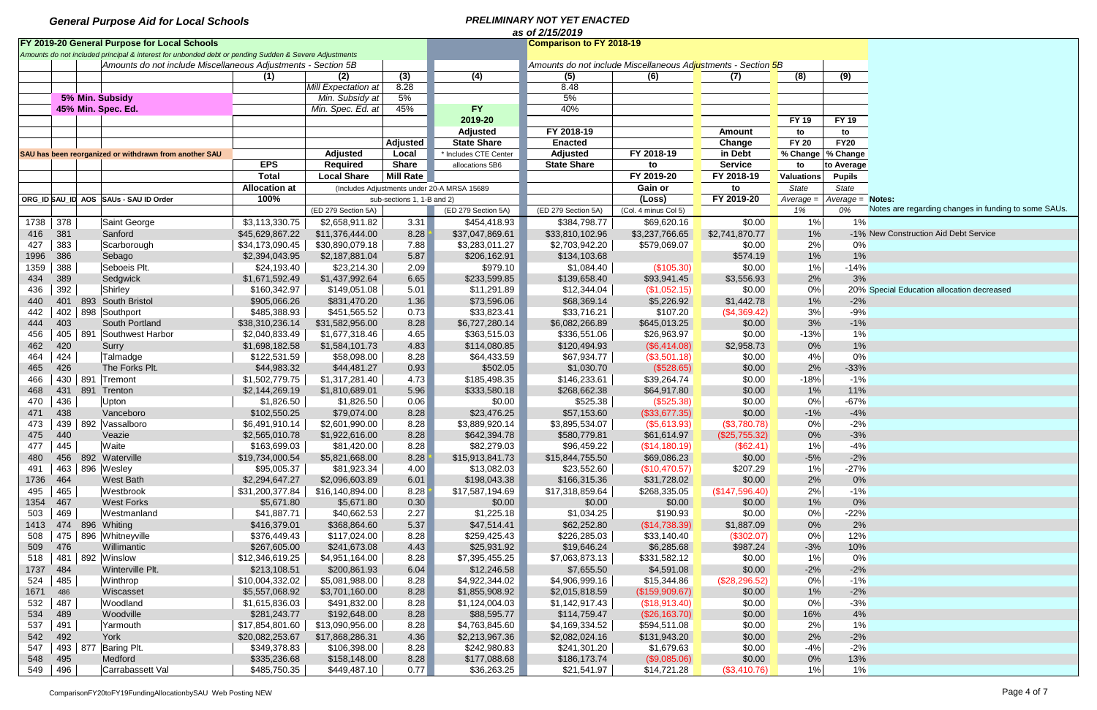|      | as of 2/15/2019 |  |                                                                                                       |                             |                     |                            |                                             |                                                               |                      |                |                   |                     |                                                      |  |
|------|-----------------|--|-------------------------------------------------------------------------------------------------------|-----------------------------|---------------------|----------------------------|---------------------------------------------|---------------------------------------------------------------|----------------------|----------------|-------------------|---------------------|------------------------------------------------------|--|
|      |                 |  | FY 2019-20 General Purpose for Local Schools                                                          |                             |                     |                            |                                             | <b>Comparison to FY 2018-19</b>                               |                      |                |                   |                     |                                                      |  |
|      |                 |  | Amounts do not included principal & interest for unbonded debt or pending Sudden & Severe Adjustments |                             |                     |                            |                                             |                                                               |                      |                |                   |                     |                                                      |  |
|      |                 |  | Amounts do not include Miscellaneous Adjustments - Section 5B                                         |                             |                     |                            |                                             | Amounts do not include Miscellaneous Adjustments - Section 5B |                      |                |                   |                     |                                                      |  |
|      |                 |  |                                                                                                       | (1)                         | (2)                 | (3)                        | (4)                                         | (5)                                                           | (6)                  | (7)            | (8)               | (9)                 |                                                      |  |
|      |                 |  |                                                                                                       |                             | Mill Expectation at | 8.28                       |                                             | 8.48                                                          |                      |                |                   |                     |                                                      |  |
|      |                 |  | 5% Min. Subsidy                                                                                       |                             | Min. Subsidy at     | 5%                         |                                             | 5%                                                            |                      |                |                   |                     |                                                      |  |
|      |                 |  | 45% Min. Spec. Ed.                                                                                    |                             | Min. Spec. Ed. at   | 45%                        | <b>FY</b>                                   | 40%                                                           |                      |                |                   |                     |                                                      |  |
|      |                 |  |                                                                                                       |                             |                     |                            | 2019-20                                     |                                                               |                      |                | <b>FY 19</b>      | <b>FY 19</b>        |                                                      |  |
|      |                 |  |                                                                                                       |                             |                     |                            | <b>Adjusted</b>                             | FY 2018-19                                                    |                      | <b>Amount</b>  | to                | to                  |                                                      |  |
|      |                 |  |                                                                                                       |                             |                     | <b>Adjusted</b>            | <b>State Share</b>                          | <b>Enacted</b>                                                |                      | Change         | <b>FY 20</b>      | <b>FY20</b>         |                                                      |  |
|      |                 |  | SAU has been reorganized or withdrawn from another SAU                                                |                             | <b>Adjusted</b>     | Local                      | * Includes CTE Center                       | <b>Adjusted</b>                                               | FY 2018-19           | in Debt        |                   | % Change   % Change |                                                      |  |
|      |                 |  |                                                                                                       | <b>EPS</b>                  | <b>Required</b>     | <b>Share</b>               | allocations 5B6                             | <b>State Share</b>                                            | to                   | <b>Service</b> | to                | to Average          |                                                      |  |
|      |                 |  |                                                                                                       | <b>Total</b>                | <b>Local Share</b>  | <b>Mill Rate</b>           |                                             |                                                               | FY 2019-20           | FY 2018-19     | <b>Valuations</b> | <b>Pupils</b>       |                                                      |  |
|      |                 |  |                                                                                                       | <b>Allocation at</b>        |                     |                            | (Includes Adjustments under 20-A MRSA 15689 |                                                               | Gain or              | to             | State             | State               |                                                      |  |
|      |                 |  | ORG_ID SAU_ID AOS SAUs - SAU ID Order                                                                 | 100%                        |                     | sub-sections 1, 1-B and 2) |                                             |                                                               | (Loss)               | FY 2019-20     | Average =         | Average = Notes:    |                                                      |  |
|      |                 |  |                                                                                                       |                             | (ED 279 Section 5A) |                            | (ED 279 Section 5A)                         | (ED 279 Section 5A)                                           | (Col. 4 minus Col 5) |                | 1%                | 0%                  | Notes are regarding changes in funding to some SAUs. |  |
| 1738 | 378             |  | Saint George                                                                                          | $\overline{\$3,113,330.75}$ | \$2,658,911.82      | 3.31                       | \$454,418.93                                | \$384,798.77                                                  | \$69,620.16          | \$0.00         | 1%                | 1%                  |                                                      |  |
| 416  | 381             |  | Sanford                                                                                               | \$45,629,867.22             | \$11,376,444.00     | 8.28                       | \$37,047,869.61                             | \$33,810,102.96                                               | \$3,237,766.65       | \$2,741,870.77 | 1%                |                     | -1% New Construction Aid Debt Service                |  |
| 427  | 383             |  | Scarborough                                                                                           | \$34,173,090.45             | \$30,890,079.18     | 7.88                       | \$3,283,011.27                              | \$2,703,942.20                                                | \$579,069.07         | \$0.00         | 2%                | 0%                  |                                                      |  |
| 1996 | 386             |  | Sebago                                                                                                | \$2,394,043.95              | \$2,187,881.04      | 5.87                       | \$206,162.91                                | \$134,103.68                                                  |                      | \$574.19       | 1%                | 1%                  |                                                      |  |
| 1359 | 388             |  | Seboeis Plt.                                                                                          | \$24,193.40                 | \$23,214.30         | 2.09                       | \$979.10                                    | \$1,084.40                                                    | (\$105.30)           | \$0.00         | 1%                | $-14%$              |                                                      |  |
| 434  | 389             |  | Sedgwick                                                                                              | \$1,671,592.49              | \$1,437,992.64      | 6.65                       | \$233,599.85                                | \$139,658.40                                                  | \$93,941.45          | \$3,556.93     | 2%                | 3%                  |                                                      |  |
| 436  | 392             |  | Shirley                                                                                               | \$160,342.97                | \$149,051.08        | 5.01                       | \$11,291.89                                 | \$12,344.04                                                   | (\$1,052.15)         | \$0.00         | 0%                |                     | 20% Special Education allocation decreased           |  |
| 440  | 401             |  | 893 South Bristol                                                                                     | \$905,066.26                | \$831,470.20        | 1.36                       | \$73,596.06                                 | \$68,369.14                                                   | \$5,226.92           | \$1,442.78     | 1%                | $-2%$               |                                                      |  |
| 442  |                 |  | 402   898   Southport                                                                                 | \$485,388.93                | \$451,565.52        | 0.73                       | \$33,823.41                                 | \$33,716.21                                                   | \$107.20             | (\$4,369.42)   | 3%                | $-9%$               |                                                      |  |
| 444  | 403             |  | South Portland                                                                                        | \$38,310,236.14             | \$31,582,956.00     | 8.28                       | \$6,727,280.14                              | \$6,082,266.89                                                | \$645,013.25         | \$0.00         | 3%                | $-1%$               |                                                      |  |
| 456  |                 |  | 405   891   Southwest Harbor                                                                          | \$2,040,833.49              | \$1,677,318.46      | 4.65                       | \$363,515.03                                | \$336,551.06                                                  | \$26,963.97          | \$0.00         | $-13%$            | 1%                  |                                                      |  |
| 462  | 420             |  | Surry                                                                                                 | \$1,698,182.58              | \$1,584,101.73      | 4.83                       | \$114,080.85                                | \$120,494.93                                                  | $($ \$6,414.08) $ $  | \$2,958.73     | 0%                | 1%                  |                                                      |  |
| 464  | 424             |  | Talmadge                                                                                              | \$122,531.59                | \$58,098.00         | 8.28                       | \$64,433.59                                 | \$67,934.77                                                   | (\$3,501.18)         | \$0.00         | 4%                | 0%                  |                                                      |  |
| 465  | 426             |  | The Forks Plt.                                                                                        | \$44,983.32                 | \$44,481.27         | 0.93                       | \$502.05                                    | \$1,030.70                                                    | (\$528.65)           | \$0.00         | 2%                | $-33%$              |                                                      |  |
| 466  |                 |  | 430   891   Tremont                                                                                   | \$1,502,779.75              | \$1,317,281.40      | 4.73                       | \$185,498.35                                | \$146,233.61                                                  | \$39,264.74          | \$0.00         | $-18%$            | $-1%$               |                                                      |  |
| 468  | 431             |  | 891 Trenton                                                                                           | \$2,144,269.19              | \$1,810,689.01      | 5.96                       | \$333,580.18                                | \$268,662.38                                                  | \$64,917.80          | \$0.00         | 1%                | 11%                 |                                                      |  |
| 470  | 436             |  | Upton                                                                                                 | \$1,826.50                  | \$1,826.50          | 0.06                       | \$0.00                                      | \$525.38                                                      | (\$525.38)           | \$0.00         | 0%                | $-67%$              |                                                      |  |
| 471  | 438             |  | Vanceboro                                                                                             | \$102,550.25                | \$79,074.00         | 8.28                       | \$23,476.25                                 | \$57,153.60                                                   | (\$33,677.35)        | \$0.00         | $-1%$             | $-4%$               |                                                      |  |
| 473  |                 |  | 439   892   Vassalboro                                                                                | \$6,491,910.14              | \$2,601,990.00      | 8.28                       | \$3,889,920.14                              | \$3,895,534.07                                                | (\$5,613.93)         | (\$3,780.78)   | 0%                | $-2%$               |                                                      |  |
| 475  | 440             |  | Veazie                                                                                                | \$2,565,010.78              | \$1,922,616.00      | 8.28                       | \$642,394.78                                | \$580,779.81                                                  | \$61,614.97          | (\$25,755.32)  | 0%                | $-3%$               |                                                      |  |
| 477  | 445             |  | Waite                                                                                                 | \$163,699.03                | \$81,420.00         | 8.28                       | \$82,279.03                                 | \$96,459.22                                                   | (\$14,180.19)        | (\$62.41)      | 1%                | $-4%$               |                                                      |  |
| 480  |                 |  | 456 892 Waterville                                                                                    | \$19,734,000.54             | \$5,821,668.00      | 8.28                       | \$15,913,841.73                             | \$15,844,755.50                                               | \$69,086.23          | \$0.00         | $-5%$             | $-2%$               |                                                      |  |
| 491  |                 |  | 463 896 Wesley                                                                                        | \$95,005.37                 | \$81,923.34         | 4.00                       | \$13,082.03                                 | \$23,552.60                                                   | (\$10,470.57)        | \$207.29       | 1%                | $-27%$              |                                                      |  |
| 1736 | 464             |  | <b>West Bath</b>                                                                                      | \$2,294,647.27              | \$2,096,603.89      | 6.01                       | \$198,043.38                                | \$166,315.36                                                  | \$31,728.02          | \$0.00         | 2%                | 0%                  |                                                      |  |
| 495  | 465             |  | Westbrook                                                                                             | \$31,200,377.84             | \$16,140,894.00     | 8.28                       | \$17,587,194.69                             | \$17,318,859.64                                               | \$268,335.05         | (\$147,596.40) | 2%                | $-1%$               |                                                      |  |
| 1354 | 467             |  | <b>West Forks</b>                                                                                     | \$5,671.80                  | \$5,671.80          | 0.30                       | \$0.00                                      | \$0.00                                                        | \$0.00               | \$0.00         | 1%                | 0%                  |                                                      |  |
| 503  | 469             |  | Westmanland                                                                                           | \$41,887.71                 | \$40,662.53         | 2.27                       | \$1,225.18                                  | \$1,034.25                                                    | \$190.93             | \$0.00         | 0%                | $-22%$              |                                                      |  |
| 1413 |                 |  | 474 896 Whiting                                                                                       | \$416,379.01                | \$368,864.60        | 5.37                       | \$47,514.41                                 | \$62,252.80                                                   | (\$14,738.39)        | \$1,887.09     | 0%                | 2%                  |                                                      |  |
| 508  |                 |  | 475   896   Whitneyville                                                                              | \$376,449.43                | \$117,024.00        | 8.28                       | \$259,425.43                                | \$226,285.03                                                  | \$33,140.40          | (\$302.07)     | 0%                | 12%                 |                                                      |  |
| 509  | 476             |  | Willimantic                                                                                           | \$267,605.00                | \$241,673.08        | 4.43                       | \$25,931.92                                 | \$19,646.24                                                   | \$6,285.68           | \$987.24       | $-3%$             | 10%                 |                                                      |  |
| 518  |                 |  | 481   892   Winslow                                                                                   | \$12,346,619.25             | \$4,951,164.00      | 8.28                       | \$7,395,455.25                              | \$7,063,873.13                                                | \$331,582.12         | \$0.00         | 1%                | 0%                  |                                                      |  |
| 1737 | 484             |  | Winterville Plt.                                                                                      | \$213,108.51                | \$200,861.93        | 6.04                       | \$12,246.58                                 | \$7,655.50                                                    | \$4,591.08           | \$0.00         | $-2%$             | $-2%$               |                                                      |  |
| 524  | 485             |  | Winthrop                                                                                              | \$10,004,332.02             | \$5,081,988.00      | 8.28                       | \$4,922,344.02                              | \$4,906,999.16                                                | \$15,344.86          | (\$28,296.52)  | 0%                | $-1%$               |                                                      |  |
| 1671 | 486             |  | Wiscasset                                                                                             | \$5,557,068.92              | \$3,701,160.00      | 8.28                       | \$1,855,908.92                              | \$2,015,818.59                                                | (\$159,909.67)       | \$0.00         | $1\%$             | $-2%$               |                                                      |  |
| 532  | 487             |  | Woodland                                                                                              | \$1,615,836.03              | \$491,832.00        | 8.28                       | \$1,124,004.03                              | \$1,142,917.43                                                | (\$18,913.40)        | \$0.00         | 0%                | $-3%$               |                                                      |  |
| 534  | 489             |  | Woodville                                                                                             | \$281,243.77                | \$192,648.00        | 8.28                       | \$88,595.77                                 | \$114,759.47                                                  | ( \$26, 163.70)      | \$0.00         | 16%               | 4%                  |                                                      |  |
| 537  | 491             |  | Yarmouth                                                                                              | \$17,854,801.60             | \$13,090,956.00     | 8.28                       | \$4,763,845.60                              | \$4,169,334.52                                                | \$594,511.08         | \$0.00         | 2%                | 1%                  |                                                      |  |
| 542  | 492             |  | York                                                                                                  | \$20,082,253.67             | \$17,868,286.31     | 4.36                       | \$2,213,967.36                              | \$2,082,024.16                                                | \$131,943.20         | \$0.00         | 2%                | $-2%$               |                                                      |  |
| 547  |                 |  | 493   877   Baring Plt.                                                                               | \$349,378.83                | \$106,398.00        | 8.28                       | \$242,980.83                                | \$241,301.20                                                  | \$1,679.63           | \$0.00         | $-4%$             | $-2%$               |                                                      |  |
| 548  | 495             |  | Medford                                                                                               | \$335,236.68                | \$158,148.00        | 8.28                       | \$177,088.68                                | \$186,173.74                                                  | ( \$9,085.06)        | \$0.00         | 0%                | 13%                 |                                                      |  |
| 549  | 496             |  | Carrabassett Val                                                                                      | \$485,750.35                | \$449,487.10        | 0.77                       | \$36,263.25                                 | \$21,541.97                                                   | \$14,721.28          | (\$3,410.76)   | $1\%$             | 1%                  |                                                      |  |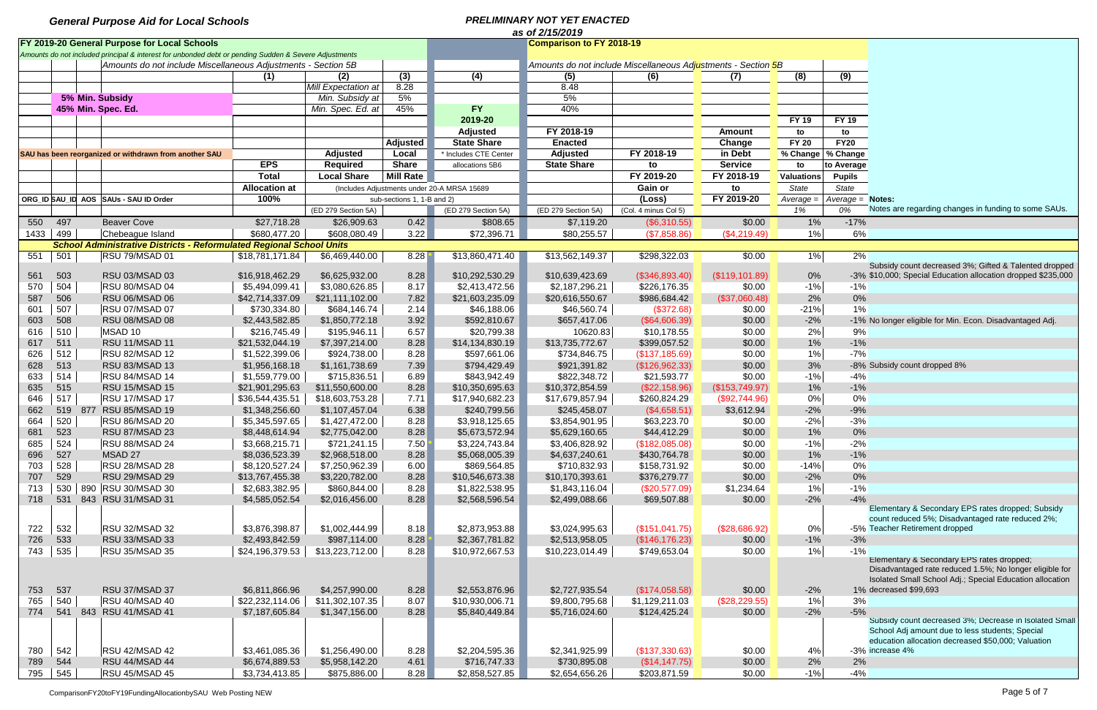|      | as of 2/15/2019 |  |                                                                                                       |                      |                     |                            |                                             |                                                               |                      |                   |                   |                     |                                                                                    |  |
|------|-----------------|--|-------------------------------------------------------------------------------------------------------|----------------------|---------------------|----------------------------|---------------------------------------------|---------------------------------------------------------------|----------------------|-------------------|-------------------|---------------------|------------------------------------------------------------------------------------|--|
|      |                 |  | FY 2019-20 General Purpose for Local Schools                                                          |                      |                     |                            |                                             | <b>Comparison to FY 2018-19</b>                               |                      |                   |                   |                     |                                                                                    |  |
|      |                 |  | Amounts do not included principal & interest for unbonded debt or pending Sudden & Severe Adjustments |                      |                     |                            |                                             |                                                               |                      |                   |                   |                     |                                                                                    |  |
|      |                 |  | Amounts do not include Miscellaneous Adjustments - Section 5B                                         |                      |                     |                            |                                             | Amounts do not include Miscellaneous Adjustments - Section 5B |                      |                   |                   |                     |                                                                                    |  |
|      |                 |  |                                                                                                       | (1)                  | (2)                 | (3)                        | (4)                                         | (5)                                                           | (6)                  | (7)               | (8)               | (9)                 |                                                                                    |  |
|      |                 |  |                                                                                                       |                      | Mill Expectation at | 8.28                       |                                             | 8.48                                                          |                      |                   |                   |                     |                                                                                    |  |
|      |                 |  | 5% Min. Subsidy                                                                                       |                      | Min. Subsidy at     | 5%                         |                                             | 5%                                                            |                      |                   |                   |                     |                                                                                    |  |
|      |                 |  | 45% Min. Spec. Ed.                                                                                    |                      | Min. Spec. Ed. at   | 45%                        | <b>FY</b>                                   | 40%                                                           |                      |                   |                   |                     |                                                                                    |  |
|      |                 |  |                                                                                                       |                      |                     |                            | 2019-20                                     |                                                               |                      |                   | <b>FY 19</b>      | <b>FY 19</b>        |                                                                                    |  |
|      |                 |  |                                                                                                       |                      |                     |                            | <b>Adjusted</b>                             | FY 2018-19                                                    |                      | <b>Amount</b>     | to                | to                  |                                                                                    |  |
|      |                 |  |                                                                                                       |                      |                     | <b>Adjusted</b>            | <b>State Share</b>                          | <b>Enacted</b>                                                |                      | Change            | <b>FY 20</b>      | <b>FY20</b>         |                                                                                    |  |
|      |                 |  |                                                                                                       |                      | <b>Adjusted</b>     |                            |                                             | <b>Adjusted</b>                                               | FY 2018-19           | in Debt           |                   |                     |                                                                                    |  |
|      |                 |  | SAU has been reorganized or withdrawn from another SAU                                                | <b>EPS</b>           |                     | Local                      | * Includes CTE Center                       |                                                               |                      |                   |                   | % Change   % Change |                                                                                    |  |
|      |                 |  |                                                                                                       |                      | <b>Required</b>     | <b>Share</b>               | allocations 5B6                             | <b>State Share</b>                                            | to                   | <b>Service</b>    | to                | to Average          |                                                                                    |  |
|      |                 |  |                                                                                                       | <b>Total</b>         | <b>Local Share</b>  | <b>Mill Rate</b>           |                                             |                                                               | FY 2019-20           | FY 2018-19        | <b>Valuations</b> | <b>Pupils</b>       |                                                                                    |  |
|      |                 |  |                                                                                                       | <b>Allocation at</b> |                     |                            | (Includes Adjustments under 20-A MRSA 15689 |                                                               | Gain or              | to                | State             | State               |                                                                                    |  |
|      |                 |  | ORG_ID SAU_ID AOS SAUs - SAU ID Order                                                                 | 100%                 |                     | sub-sections 1, 1-B and 2) |                                             |                                                               | (Loss)               | FY 2019-20        | Average =         | $Average = Notes$ : |                                                                                    |  |
|      |                 |  |                                                                                                       |                      | (ED 279 Section 5A) |                            | (ED 279 Section 5A)                         | (ED 279 Section 5A)                                           | (Col. 4 minus Col 5) |                   | 1%                | 0%                  | Notes are regarding changes in funding to some SAUs.                               |  |
| 550  | 497             |  | <b>Beaver Cove</b>                                                                                    | \$27,718.28          | \$26,909.63         | 0.42                       | \$808.65                                    | \$7,119.20                                                    | (\$6,310.55)         | \$0.00            | 1%                | $-17%$              |                                                                                    |  |
| 1433 | 499             |  | Chebeague Island                                                                                      | \$680,477.20         | \$608,080.49        | 3.22                       | \$72,396.71                                 | \$80,255.57                                                   | (\$7,858.86)         | (\$4,219.49)      | 1%                | 6%                  |                                                                                    |  |
|      |                 |  | <b>School Administrative Districts - Reformulated Regional School Units</b>                           |                      |                     |                            |                                             |                                                               |                      |                   |                   |                     |                                                                                    |  |
| 551  | 501             |  | RSU 79/MSAD 01                                                                                        | \$18,781,171.84      | \$6,469,440.00      | 8.28                       | \$13,860,471.40                             | \$13,562,149.37                                               | \$298,322.03         | \$0.00            | $1\%$             | 2%                  |                                                                                    |  |
|      |                 |  |                                                                                                       |                      |                     |                            |                                             |                                                               |                      |                   |                   |                     | Subsidy count decreased 3%; Gifted & Talented dropped                              |  |
| 561  | 503             |  | RSU 03/MSAD 03                                                                                        | \$16,918,462.29      | \$6,625,932.00      | 8.28                       | \$10,292,530.29                             | \$10,639,423.69                                               | (\$346,893.40)       | $($ \$119,101.89) | 0%                |                     | -3% \$10,000; Special Education allocation dropped \$235,000                       |  |
| 570  | 504             |  | RSU 80/MSAD 04                                                                                        | \$5,494,099.41       | \$3,080,626.85      | 8.17                       | \$2,413,472.56                              | \$2,187,296.21                                                | \$226,176.35         | \$0.00            | $-1%$             | $-1%$               |                                                                                    |  |
| 587  | 506             |  | RSU 06/MSAD 06                                                                                        | \$42,714,337.09      | \$21,111,102.00     | 7.82                       | \$21,603,235.09                             | \$20,616,550.67                                               | \$986,684.42         | (\$37,060.48)     | 2%                | 0%                  |                                                                                    |  |
| 601  | 507             |  | RSU 07/MSAD 07                                                                                        | \$730,334.80         | \$684,146.74        | 2.14                       | \$46,188.06                                 | \$46,560.74                                                   | (\$372.68)           | \$0.00            | $-21%$            | 1%                  |                                                                                    |  |
| 603  | 508             |  | RSU 08/MSAD 08                                                                                        | \$2,443,582.85       | \$1,850,772.18      | 3.92                       | \$592,810.67                                | \$657,417.06                                                  | (\$64,606.39)        | \$0.00            | $-2%$             |                     | -1% No longer eligible for Min. Econ. Disadvantaged Adj.                           |  |
| 616  | 510             |  | MSAD 10                                                                                               | \$216,745.49         | \$195,946.11        | 6.57                       | \$20,799.38                                 | 10620.83                                                      | \$10,178.55          | \$0.00            | 2%                | 9%                  |                                                                                    |  |
| 617  | 511             |  | RSU 11/MSAD 11                                                                                        | \$21,532,044.19      | \$7,397,214.00      | 8.28                       | \$14,134,830.19                             | \$13,735,772.67                                               | \$399,057.52         | \$0.00            | 1%                | $-1%$               |                                                                                    |  |
| 626  | 512             |  | RSU 82/MSAD 12                                                                                        | \$1,522,399.06       | \$924,738.00        | 8.28                       | \$597,661.06                                | \$734,846.75                                                  | (\$137,185.69)       | \$0.00            | 1%                | $-7%$               |                                                                                    |  |
| 628  | 513             |  | RSU 83/MSAD 13                                                                                        | \$1,956,168.18       | \$1,161,738.69      | 7.39                       | \$794,429.49                                | \$921,391.82                                                  | (\$126,962.33)       | \$0.00            | 3%                |                     | -8% Subsidy count dropped 8%                                                       |  |
| 633  | 514             |  | RSU 84/MSAD 14                                                                                        | \$1,559,779.00       | \$715,836.51        | 6.89                       | \$843,942.49                                | \$822,348.72                                                  | \$21,593.77          | \$0.00            | $-1%$             | $-4%$               |                                                                                    |  |
| 635  | 515             |  | RSU 15/MSAD 15                                                                                        | \$21,901,295.63      | \$11,550,600.00     | 8.28                       | \$10,350,695.63                             | \$10,372,854.59                                               | (\$22,158.96)        | (\$153,749.97)    | 1%                | $-1%$               |                                                                                    |  |
|      | 517             |  |                                                                                                       |                      |                     | 7.71                       |                                             |                                                               |                      |                   |                   |                     |                                                                                    |  |
| 646  |                 |  | RSU 17/MSAD 17                                                                                        | \$36,544,435.51      | \$18,603,753.28     |                            | \$17,940,682.23                             | \$17,679,857.94                                               | \$260,824.29         | (\$92,744.96)     | 0%                | 0%                  |                                                                                    |  |
| 662  | 519             |  | 877 RSU 85/MSAD 19                                                                                    | \$1,348,256.60       | \$1,107,457.04      | 6.38                       | \$240,799.56                                | \$245,458.07                                                  | (\$4,658.51)         | \$3,612.94        | $-2%$             | $-9%$               |                                                                                    |  |
| 664  | 520             |  | RSU 86/MSAD 20                                                                                        | \$5,345,597.65       | \$1,427,472.00      | 8.28                       | \$3,918,125.65                              | \$3,854,901.95                                                | \$63,223.70          | \$0.00            | $-2%$             | $-3%$               |                                                                                    |  |
| 681  | 523             |  | RSU 87/MSAD 23                                                                                        | \$8,448,614.94       | \$2,775,042.00      | 8.28                       | \$5,673,572.94                              | \$5,629,160.65                                                | \$44,412.29          | \$0.00            | 1%                | 0%                  |                                                                                    |  |
| 685  | 524             |  | RSU 88/MSAD 24                                                                                        | \$3,668,215.71       | \$721,241.15        | 7.50                       | \$3,224,743.84                              | \$3,406,828.92                                                | (\$182,085.08)       | \$0.00            | $-1%$             | $-2%$               |                                                                                    |  |
| 696  | 527             |  | MSAD 27                                                                                               | \$8,036,523.39       | \$2,968,518.00      | 8.28                       | \$5,068,005.39                              | \$4,637,240.61                                                | \$430,764.78         | \$0.00            | 1%                | $-1%$               |                                                                                    |  |
| 703  | 528             |  | RSU 28/MSAD 28                                                                                        | \$8,120,527.24       | \$7,250,962.39      | 6.00                       | \$869,564.85                                | \$710,832.93                                                  | \$158,731.92         | \$0.00            | $-14%$            | 0%                  |                                                                                    |  |
| 707  | 529             |  | <b>RSU 29/MSAD 29</b>                                                                                 | \$13,767,455.38      | \$3,220,782.00      | 8.28                       | \$10,546,673.38                             | \$10,170,393.61                                               | \$376,279.77         | \$0.00            | $-2%$             | 0%                  |                                                                                    |  |
| 713  |                 |  | 530   890   RSU 30/MSAD 30                                                                            | \$2,683,382.95       | \$860,844.00        | 8.28                       | \$1,822,538.95                              | \$1,843,116.04                                                | (\$20,577.09)        | \$1,234.64        | 1%                | $-1%$               |                                                                                    |  |
| 718  | 531             |  | 843 RSU 31/MSAD 31                                                                                    | \$4,585,052.54       | \$2,016,456.00      | 8.28                       | \$2,568,596.54                              | \$2,499,088.66                                                | \$69,507.88          | \$0.00            | $-2%$             | $-4%$               |                                                                                    |  |
|      |                 |  |                                                                                                       |                      |                     |                            |                                             |                                                               |                      |                   |                   |                     | Elementary & Secondary EPS rates dropped; Subsidy                                  |  |
|      |                 |  |                                                                                                       |                      |                     |                            |                                             |                                                               |                      |                   |                   |                     | count reduced 5%; Disadvantaged rate reduced 2%;<br>-5% Teacher Retirement dropped |  |
| 722  | 532             |  | RSU 32/MSAD 32                                                                                        | \$3,876,398.87       | \$1,002,444.99      | 8.18                       | \$2,873,953.88                              | \$3,024,995.63                                                | (\$151,041.75)       | (\$28,686.92)     | 0%                |                     |                                                                                    |  |
| 726  | 533             |  | RSU 33/MSAD 33                                                                                        | \$2,493,842.59       | \$987,114.00        | 8.28                       | \$2,367,781.82                              | \$2,513,958.05                                                | (\$146, 176.23)      | \$0.00            | $-1\%$            | $-3%$               |                                                                                    |  |
| 743  | 535             |  | RSU 35/MSAD 35                                                                                        | \$24,196,379.53      | \$13,223,712.00     | 8.28                       | \$10,972,667.53                             | \$10,223,014.49                                               | \$749,653.04         | \$0.00            | 1%                | $-1%$               | Elementary & Secondary EPS rates dropped;                                          |  |
|      |                 |  |                                                                                                       |                      |                     |                            |                                             |                                                               |                      |                   |                   |                     | Disadvantaged rate reduced 1.5%; No longer eligible for                            |  |
|      |                 |  |                                                                                                       |                      |                     |                            |                                             |                                                               |                      |                   |                   |                     | Isolated Small School Adj.; Special Education allocation                           |  |
| 753  | 537             |  | RSU 37/MSAD 37                                                                                        | \$6,811,866.96       | \$4,257,990.00      | 8.28                       | \$2,553,876.96                              | \$2,727,935.54                                                | (\$174,058.58)       | \$0.00            | $-2%$             |                     | 1% decreased \$99,693                                                              |  |
| 765  | 540             |  | RSU 40/MSAD 40                                                                                        | \$22,232,114.06      | \$11,302,107.35     | 8.07                       | \$10,930,006.71                             | \$9,800,795.68                                                | \$1,129,211.03       | (\$28,229.55)     | 1%                | 3%                  |                                                                                    |  |
| 774  |                 |  | 541 843 RSU 41/MSAD 41                                                                                | \$7,187,605.84       | \$1,347,156.00      | 8.28                       | \$5,840,449.84                              | \$5,716,024.60                                                | \$124,425.24         | \$0.00            | $-2%$             | $-5%$               |                                                                                    |  |
|      |                 |  |                                                                                                       |                      |                     |                            |                                             |                                                               |                      |                   |                   |                     | Subsidy count decreased 3%; Decrease in Isolated Small                             |  |
|      |                 |  |                                                                                                       |                      |                     |                            |                                             |                                                               |                      |                   |                   |                     | School Adj amount due to less students; Special                                    |  |
|      |                 |  |                                                                                                       |                      |                     |                            |                                             |                                                               |                      |                   |                   |                     | education allocation decreased \$50,000; Valuation                                 |  |
| 780  | 542             |  | RSU 42/MSAD 42                                                                                        | \$3,461,085.36       | \$1,256,490.00      | 8.28                       | \$2,204,595.36                              | \$2,341,925.99                                                | (\$137,330.63)       | \$0.00            | 4%                |                     | -3% increase 4%                                                                    |  |
| 789  | 544             |  | RSU 44/MSAD 44                                                                                        | \$6,674,889.53       | \$5,958,142.20      | 4.61                       | \$716,747.33                                | \$730,895.08                                                  | (S14, 147.75)        | \$0.00            | 2%                | 2%                  |                                                                                    |  |
| 795  | 545             |  | RSU 45/MSAD 45                                                                                        | \$3,734,413.85       | \$875,886.00        | 8.28                       | \$2,858,527.85                              | \$2,654,656.26                                                | \$203,871.59         | \$0.00            | $-1%$             | $-4%$               |                                                                                    |  |
|      |                 |  |                                                                                                       |                      |                     |                            |                                             |                                                               |                      |                   |                   |                     |                                                                                    |  |

ComparisonFY20toFY19FundingAllocationbySAU Web Posting NEW Page 5 of 7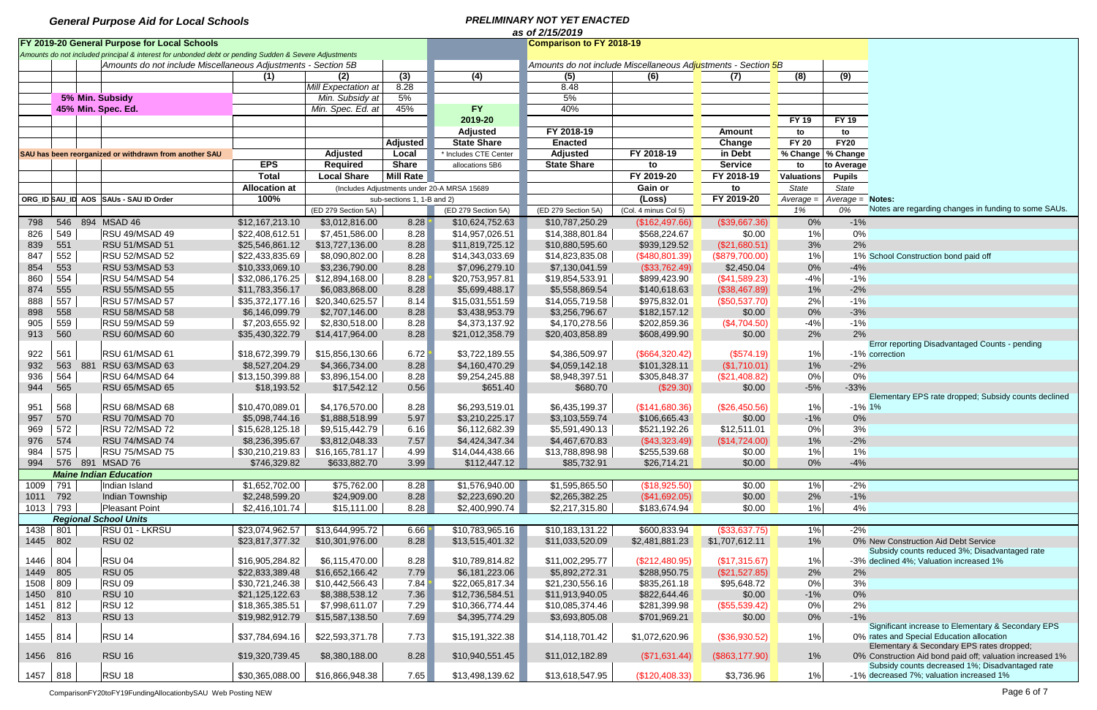|            | as of 2/15/2019 |  |                                                                                                       |                      |                     |                            |                                             |                     |                                                                              |                   |                   |                     |                                                           |  |
|------------|-----------------|--|-------------------------------------------------------------------------------------------------------|----------------------|---------------------|----------------------------|---------------------------------------------|---------------------|------------------------------------------------------------------------------|-------------------|-------------------|---------------------|-----------------------------------------------------------|--|
|            |                 |  | FY 2019-20 General Purpose for Local Schools                                                          |                      |                     |                            | <b>Comparison to FY 2018-19</b>             |                     |                                                                              |                   |                   |                     |                                                           |  |
|            |                 |  | Amounts do not included principal & interest for unbonded debt or pending Sudden & Severe Adjustments |                      |                     |                            |                                             |                     |                                                                              |                   |                   |                     |                                                           |  |
|            |                 |  | Amounts do not include Miscellaneous Adjustments - Section 5B                                         |                      |                     |                            |                                             |                     | Amounts do not include Miscellaneous Ad <mark>ju</mark> stments - Section 5B |                   |                   |                     |                                                           |  |
|            |                 |  |                                                                                                       | (1)                  | (2)                 | (3)                        | (4)                                         | (5)                 | (6)                                                                          | (7)               | (8)               | (9)                 |                                                           |  |
|            |                 |  |                                                                                                       |                      | Mill Expectation at | 8.28                       |                                             | 8.48                |                                                                              |                   |                   |                     |                                                           |  |
|            |                 |  | 5% Min. Subsidy                                                                                       |                      | Min. Subsidy at     | 5%                         |                                             | 5%                  |                                                                              |                   |                   |                     |                                                           |  |
|            |                 |  | 45% Min. Spec. Ed.                                                                                    |                      | Min. Spec. Ed. at   | 45%                        | <b>FY</b>                                   | 40%                 |                                                                              |                   |                   |                     |                                                           |  |
|            |                 |  |                                                                                                       |                      |                     |                            | 2019-20                                     |                     |                                                                              |                   | <b>FY 19</b>      | <b>FY 19</b>        |                                                           |  |
|            |                 |  |                                                                                                       |                      |                     |                            | <b>Adjusted</b>                             | FY 2018-19          |                                                                              | <b>Amount</b>     | to                | to                  |                                                           |  |
|            |                 |  |                                                                                                       |                      |                     | <b>Adjusted</b>            | <b>State Share</b>                          | <b>Enacted</b>      |                                                                              | Change            | <b>FY 20</b>      | <b>FY20</b>         |                                                           |  |
|            |                 |  | SAU has been reorganized or withdrawn from another SAU                                                |                      | <b>Adjusted</b>     | Local                      | * Includes CTE Center                       | <b>Adjusted</b>     | FY 2018-19                                                                   | in Debt           |                   | % Change   % Change |                                                           |  |
|            |                 |  |                                                                                                       | <b>EPS</b>           | <b>Required</b>     | <b>Share</b>               | allocations 5B6                             | <b>State Share</b>  | to                                                                           | <b>Service</b>    | to                | to Average          |                                                           |  |
|            |                 |  |                                                                                                       | <b>Total</b>         | <b>Local Share</b>  | <b>Mill Rate</b>           |                                             |                     | FY 2019-20                                                                   | FY 2018-19        | <b>Valuations</b> | <b>Pupils</b>       |                                                           |  |
|            |                 |  |                                                                                                       | <b>Allocation at</b> |                     |                            |                                             |                     | Gain or                                                                      |                   | State             | State               |                                                           |  |
|            |                 |  |                                                                                                       |                      |                     |                            | (Includes Adjustments under 20-A MRSA 15689 |                     |                                                                              | to                |                   |                     |                                                           |  |
|            |                 |  | ORG ID SAU ID AOS SAUS - SAU ID Order                                                                 | 100%                 |                     | sub-sections 1, 1-B and 2) |                                             |                     | (Loss)                                                                       | FY 2019-20        | Average =         | $Average = Notes$ : | Notes are regarding changes in funding to some SAUs.      |  |
|            |                 |  |                                                                                                       |                      | (ED 279 Section 5A) |                            | (ED 279 Section 5A)                         | (ED 279 Section 5A) | (Col. 4 minus Col 5)                                                         |                   | 1%                | 0%                  |                                                           |  |
| 798        |                 |  | 546 894 MSAD 46                                                                                       | \$12,167,213.10      | \$3,012,816.00      | 8.28                       | \$10,624,752.63                             | \$10,787,250.29     | (\$162,497.66)                                                               | (\$39,667.36)     | 0%                | $-1%$               |                                                           |  |
| 826        | 549             |  | RSU 49/MSAD 49                                                                                        | \$22,408,612.51      | \$7,451,586.00      | 8.28                       | \$14,957,026.51                             | \$14,388,801.84     | \$568,224.67                                                                 | \$0.00            | 1%                | 0%                  |                                                           |  |
| 839        | 551             |  | RSU 51/MSAD 51                                                                                        | \$25,546,861.12      | \$13,727,136.00     | 8.28                       | \$11,819,725.12                             | \$10,880,595.60     | \$939,129.52                                                                 | (\$21,680.51)     | 3%                | 2%                  |                                                           |  |
| 847        | 552             |  | RSU 52/MSAD 52                                                                                        | \$22,433,835.69      | \$8,090,802.00      | 8.28                       | \$14,343,033.69                             | \$14,823,835.08     | (\$480,801.39)                                                               | (\$879,700.00)    | 1%                |                     | 1% School Construction bond paid off                      |  |
| 854        | 553             |  | RSU 53/MSAD 53                                                                                        | \$10,333,069.10      | \$3,236,790.00      | 8.28                       | \$7,096,279.10                              | \$7,130,041.59      | (\$33,762.49)                                                                | \$2,450.04        | 0%                | $-4%$               |                                                           |  |
| 860        | 554             |  | RSU 54/MSAD 54                                                                                        | \$32,086,176.25      | \$12,894,168.00     | 8.28                       | \$20,753,957.81                             | \$19,854,533.91     | \$899,423.90                                                                 | (\$41,589.23)     | $-4%$             | $-1%$               |                                                           |  |
| 874        | 555             |  | RSU 55/MSAD 55                                                                                        | \$11,783,356.17      | \$6,083,868.00      | 8.28                       | \$5,699,488.17                              | \$5,558,869.54      | \$140,618.63                                                                 | (\$38,467.89)     | 1%                | $-2%$               |                                                           |  |
| 888        | 557             |  | RSU 57/MSAD 57                                                                                        | \$35,372,177.16      | \$20,340,625.57     | 8.14                       | \$15,031,551.59                             | \$14,055,719.58     | \$975,832.01                                                                 | (\$50,537.70)     | 2%                | $-1%$               |                                                           |  |
| 898        | 558             |  | RSU 58/MSAD 58                                                                                        | \$6,146,099.79       | \$2,707,146.00      | 8.28                       | \$3,438,953.79                              | \$3,256,796.67      | \$182,157.12                                                                 | \$0.00            | 0%                | $-3%$               |                                                           |  |
| 905        | 559             |  | RSU 59/MSAD 59                                                                                        | \$7,203,655.92       | \$2,830,518.00      | 8.28                       | \$4,373,137.92                              | \$4,170,278.56      | \$202,859.36                                                                 | (\$4,704.50)      | $-4%$             | $-1%$               |                                                           |  |
| 913        | 560             |  | RSU 60/MSAD 60                                                                                        | \$35,430,322.79      | \$14,417,964.00     | 8.28                       | \$21,012,358.79                             | \$20,403,858.89     | \$608,499.90                                                                 | \$0.00            | 2%                | 2%                  |                                                           |  |
|            |                 |  |                                                                                                       |                      |                     |                            |                                             |                     |                                                                              |                   |                   |                     | Error reporting Disadvantaged Counts - pending            |  |
| 922        | 561             |  | RSU 61/MSAD 61                                                                                        | \$18,672,399.79      | \$15,856,130.66     | 6.72                       | \$3,722,189.55                              | \$4,386,509.97      | (\$664,320.42)                                                               | (\$574.19)        | 1%                |                     | -1% correction                                            |  |
| 932        | 563             |  | 881 RSU 63/MSAD 63                                                                                    | \$8,527,204.29       | \$4,366,734.00      | 8.28                       | \$4,160,470.29                              | \$4,059,142.18      | \$101,328.11                                                                 | (\$1,710.01)      | 1%                | $-2%$               |                                                           |  |
| 936        | 564             |  | RSU 64/MSAD 64                                                                                        | \$13,150,399.88      | \$3,896,154.00      | 8.28                       | \$9,254,245.88                              | \$8,948,397.51      | \$305,848.37                                                                 | (\$21,408.82)     | 0%                | 0%                  |                                                           |  |
| 944        | 565             |  | RSU 65/MSAD 65                                                                                        | \$18,193.52          | \$17,542.12         | 0.56                       | \$651.40                                    | \$680.70            | (\$29.30)                                                                    | \$0.00            | $-5%$             | $-33%$              |                                                           |  |
|            |                 |  |                                                                                                       |                      |                     |                            |                                             |                     |                                                                              |                   |                   |                     | Elementary EPS rate dropped; Subsidy counts declined      |  |
| 951        | 568             |  | RSU 68/MSAD 68                                                                                        | \$10,470,089.01      | \$4,176,570.00      | 8.28                       | \$6,293,519.01                              | \$6,435,199.37      | (\$141,680.36)                                                               | (\$26,450.56)     | 1%                | $-1\%$ 1%           |                                                           |  |
| 957        | 570             |  | RSU 70/MSAD 70                                                                                        | \$5,098,744.16       | \$1,888,518.99      | 5.97                       | \$3,210,225.17                              | \$3,103,559.74      | \$106,665.43                                                                 | \$0.00            | $-1%$             | 0%                  |                                                           |  |
| 969        | 572             |  | RSU 72/MSAD 72                                                                                        | \$15,628,125.18      | \$9,515,442.79      | 6.16                       | \$6,112,682.39                              | \$5,591,490.13      | \$521,192.26                                                                 | \$12,511.01       | 0%                | 3%                  |                                                           |  |
| 976        | 574             |  | RSU 74/MSAD 74                                                                                        | \$8,236,395.67       | \$3,812,048.33      | 7.57                       | \$4,424,347.34                              | \$4,467,670.83      | (\$43,323.49)                                                                | (\$14,724.00)     | 1%                | $-2%$               |                                                           |  |
| 984        | 575             |  | RSU 75/MSAD 75                                                                                        | \$30,210,219.83      | \$16,165,781.17     | 4.99                       | \$14,044,438.66                             | \$13,788,898.98     | \$255,539.68                                                                 | \$0.00            | 1%                | 1%                  |                                                           |  |
| 994        |                 |  | 576 891 MSAD 76                                                                                       | \$746,329.82         | \$633,882.70        | 3.99                       | \$112,447.12                                | \$85,732.91         | \$26,714.21                                                                  | \$0.00            | $0\%$             | $-4%$               |                                                           |  |
|            |                 |  | <b>Maine Indian Education</b>                                                                         |                      |                     |                            |                                             |                     |                                                                              |                   |                   |                     |                                                           |  |
| 1009       | 791             |  | Indian Island                                                                                         | \$1,652,702.00       | \$75,762.00         | 8.28                       | $\overline{\$1,576,940.00}$                 | \$1,595,865.50      | (\$18,925.50)                                                                | \$0.00            | 1%                | $-2%$               |                                                           |  |
| 1011       | 792             |  | Indian Township                                                                                       | \$2,248,599.20       | \$24,909.00         | 8.28                       | \$2,223,690.20                              | \$2,265,382.25      | ( \$41,692.05)                                                               | \$0.00            | 2%                | $-1%$               |                                                           |  |
| 1013       | 793             |  | Pleasant Point                                                                                        | \$2,416,101.74       | \$15,111.00         | 8.28                       | \$2,400,990.74                              | \$2,217,315.80      | \$183,674.94                                                                 | \$0.00            | $1\%$             | 4%                  |                                                           |  |
|            |                 |  | <b>Regional School Units</b>                                                                          |                      |                     |                            |                                             |                     |                                                                              |                   |                   |                     |                                                           |  |
| 1438       | 801             |  | RSU 01 - LKRSU                                                                                        | \$23,074,962.57      | \$13,644,995.72     | 6.66                       | \$10,783,965.16                             | \$10,183,131.22     | \$600,833.94                                                                 | (\$33,637.75)     | 1%                | $-2%$               |                                                           |  |
| 1445       | 802             |  | <b>RSU 02</b>                                                                                         | \$23,817,377.32      | \$10,301,976.00     | 8.28                       | \$13,515,401.32                             | \$11,033,520.09     | \$2,481,881.23                                                               | \$1,707,612.11    | $1\%$             |                     | 0% New Construction Aid Debt Service                      |  |
|            |                 |  |                                                                                                       |                      |                     |                            |                                             |                     |                                                                              |                   |                   |                     | Subsidy counts reduced 3%; Disadvantaged rate             |  |
| 1446       | 804             |  | RSU <sub>04</sub>                                                                                     | \$16,905,284.82      | \$6,115,470.00      | 8.28                       | \$10,789,814.82                             | \$11,002,295.77     | (\$212,480.95)                                                               | (\$17,315.67)     | 1%                |                     | -3% declined 4%; Valuation increased 1%                   |  |
| 1449       | 805             |  | <b>RSU 05</b>                                                                                         | \$22,833,389.48      | \$16,652,166.42     | 7.79                       | \$6,181,223.06                              | \$5,892,272.31      | \$288,950.75                                                                 | (\$21,527.85)     | 2%                | 2%                  |                                                           |  |
| 1508       | 809             |  | <b>RSU 09</b>                                                                                         | \$30,721,246.38      | \$10,442,566.43     | 7.84                       | \$22,065,817.34                             | \$21,230,556.16     | \$835,261.18                                                                 | \$95,648.72       | 0%                | 3%                  |                                                           |  |
| 1450       | 810             |  | <b>RSU 10</b>                                                                                         | \$21,125,122.63      | \$8,388,538.12      | 7.36                       | \$12,736,584.51                             | \$11,913,940.05     | \$822,644.46                                                                 | \$0.00            | $-1\%$            | 0%                  |                                                           |  |
| 1451       | 812             |  | <b>RSU 12</b>                                                                                         | \$18,365,385.51      | \$7,998,611.07      | 7.29                       | \$10,366,774.44                             | \$10,085,374.46     | \$281,399.98                                                                 | (\$55,539.42)     | 0%                | 2%                  |                                                           |  |
| 1452 813   |                 |  | <b>RSU 13</b>                                                                                         | \$19,982,912.79      | \$15,587,138.50     | 7.69                       | \$4,395,774.29                              | \$3,693,805.08      | \$701,969.21                                                                 | \$0.00            | $0\%$             | $-1%$               |                                                           |  |
|            |                 |  |                                                                                                       |                      |                     |                            |                                             |                     |                                                                              |                   |                   |                     | Significant increase to Elementary & Secondary EPS        |  |
| 1455   814 |                 |  | RSU <sub>14</sub>                                                                                     | \$37,784,694.16      | \$22,593,371.78     | 7.73                       | \$15,191,322.38                             | \$14,118,701.42     | \$1,072,620.96                                                               | (\$36,930.52)     | 1%                |                     | 0% rates and Special Education allocation                 |  |
|            |                 |  |                                                                                                       |                      |                     |                            |                                             |                     |                                                                              |                   |                   |                     | Elementary & Secondary EPS rates dropped;                 |  |
| 1456 816   |                 |  | <b>RSU 16</b>                                                                                         | \$19,320,739.45      | \$8,380,188.00      | 8.28                       | \$10,940,551.45                             | \$11,012,182.89     | (\$71,631.44)                                                                | $($ \$863,177.90) | $1\%$             |                     | 0% Construction Aid bond paid off; valuation increased 1% |  |
|            |                 |  |                                                                                                       |                      |                     |                            |                                             |                     |                                                                              |                   |                   |                     | Subsidy counts decreased 1%; Disadvantaged rate           |  |
| 1457   818 |                 |  | RSU 18                                                                                                | \$30,365,088.00      | \$16,866,948.38     | 7.65                       | \$13,498,139.62                             | \$13,618,547.95     | (\$120,408.33)                                                               | \$3,736.96        | $1\%$             |                     | -1% decreased 7%; valuation increased 1%                  |  |

ComparisonFY20toFY19FundingAllocationbySAU Web Posting NEW Page 6 of 7